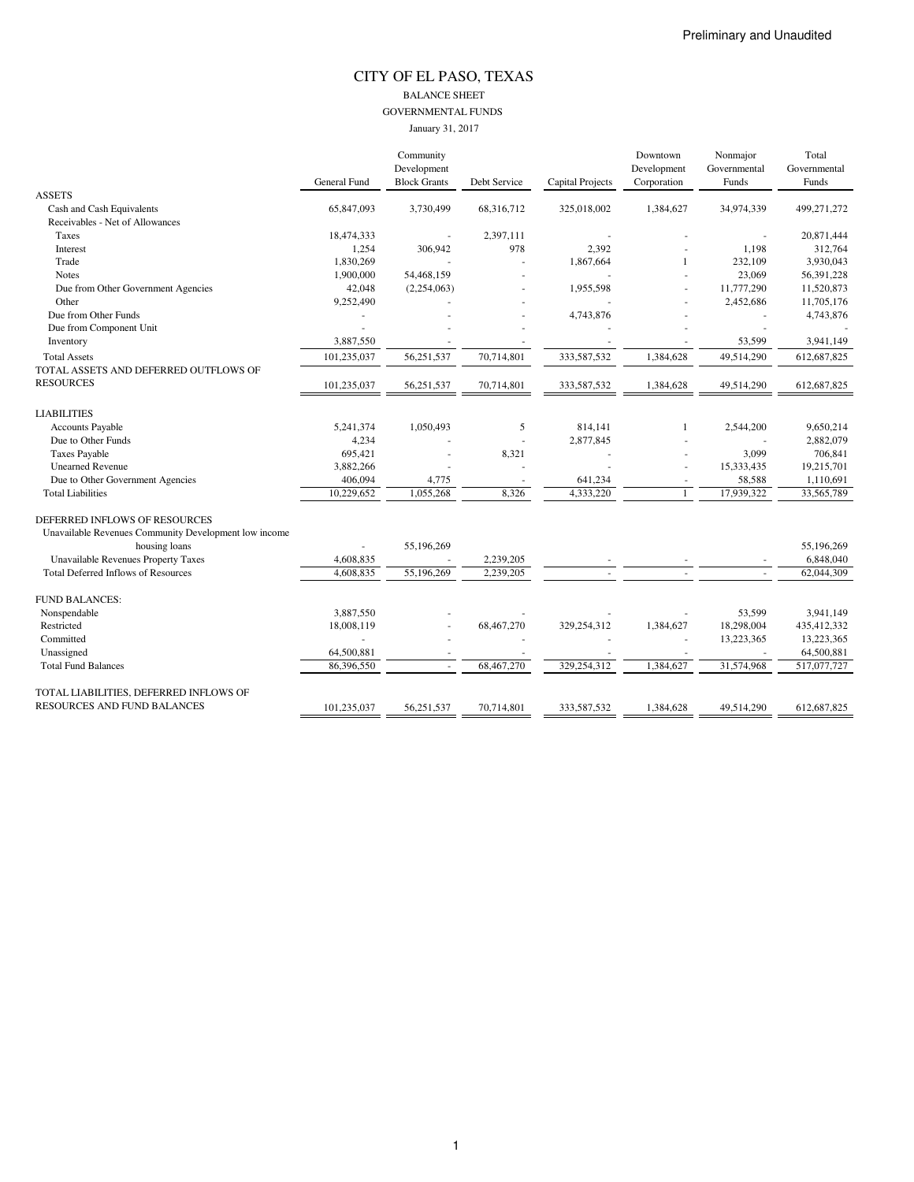#### CITY OF EL PASO, TEXAS BALANCE SHEET GOVERNMENTAL FUNDS January 31, 2017

|                                                       |                     | Community<br>Development |              |                         | Downtown<br>Development | Nonmajor<br>Governmental | Total<br>Governmental |
|-------------------------------------------------------|---------------------|--------------------------|--------------|-------------------------|-------------------------|--------------------------|-----------------------|
|                                                       | <b>General Fund</b> | <b>Block Grants</b>      | Debt Service | <b>Capital Projects</b> | Corporation             | Funds                    | Funds                 |
| <b>ASSETS</b>                                         |                     |                          |              |                         |                         |                          |                       |
| Cash and Cash Equivalents                             | 65,847,093          | 3,730,499                | 68,316,712   | 325,018,002             | 1,384,627               | 34,974,339               | 499,271,272           |
| Receivables - Net of Allowances                       |                     |                          |              |                         |                         |                          |                       |
| Taxes                                                 | 18,474,333          |                          | 2,397,111    |                         |                         |                          | 20,871,444            |
| Interest                                              | 1,254               | 306,942                  | 978          | 2,392                   |                         | 1,198                    | 312,764               |
| Trade                                                 | 1,830,269           |                          |              | 1,867,664               |                         | 232,109                  | 3,930,043             |
| <b>Notes</b>                                          | 1,900,000           | 54,468,159               |              |                         |                         | 23,069                   | 56,391,228            |
| Due from Other Government Agencies                    | 42,048              | (2,254,063)              |              | 1,955,598               |                         | 11,777,290               | 11,520,873            |
| Other                                                 | 9,252,490           |                          |              |                         |                         | 2,452,686                | 11,705,176            |
| Due from Other Funds                                  |                     |                          |              | 4,743,876               |                         |                          | 4,743,876             |
| Due from Component Unit                               |                     |                          |              |                         |                         |                          |                       |
| Inventory                                             | 3,887,550           |                          |              |                         |                         | 53,599                   | 3,941,149             |
| <b>Total Assets</b>                                   | 101,235,037         | 56,251,537               | 70,714,801   | 333,587,532             | 1,384,628               | 49,514,290               | 612,687,825           |
| TOTAL ASSETS AND DEFERRED OUTFLOWS OF                 |                     |                          |              |                         |                         |                          |                       |
| <b>RESOURCES</b>                                      | 101,235,037         | 56,251,537               | 70,714,801   | 333,587,532             | 1,384,628               | 49,514,290               | 612,687,825           |
| <b>LIABILITIES</b>                                    |                     |                          |              |                         |                         |                          |                       |
| Accounts Payable                                      | 5,241,374           | 1,050,493                | 5            | 814,141                 | 1                       | 2,544,200                | 9,650,214             |
| Due to Other Funds                                    | 4,234               |                          |              | 2,877,845               |                         |                          | 2,882,079             |
| <b>Taxes Payable</b>                                  | 695,421             |                          | 8,321        |                         |                         | 3,099                    | 706,841               |
| <b>Unearned Revenue</b>                               | 3,882,266           |                          |              |                         |                         | 15,333,435               | 19,215,701            |
| Due to Other Government Agencies                      | 406,094             | 4,775                    |              | 641,234                 |                         | 58,588                   | 1,110,691             |
| <b>Total Liabilities</b>                              | 10,229,652          | 1,055,268                | 8,326        | 4,333,220               | $\mathbf{1}$            | 17,939,322               | 33,565,789            |
| DEFERRED INFLOWS OF RESOURCES                         |                     |                          |              |                         |                         |                          |                       |
| Unavailable Revenues Community Development low income |                     |                          |              |                         |                         |                          |                       |
| housing loans                                         |                     | 55,196,269               |              |                         |                         |                          | 55,196,269            |
| Unavailable Revenues Property Taxes                   | 4,608,835           | $\sim$                   | 2,239,205    |                         |                         |                          | 6,848,040             |
| <b>Total Deferred Inflows of Resources</b>            | 4,608,835           | 55,196,269               | 2,239,205    |                         |                         |                          | 62,044,309            |
| <b>FUND BALANCES:</b>                                 |                     |                          |              |                         |                         |                          |                       |
| Nonspendable                                          | 3,887,550           |                          |              |                         | ä,                      | 53,599                   | 3,941,149             |
| Restricted                                            | 18,008,119          |                          | 68,467,270   | 329,254,312             | 1,384,627               | 18,298,004               | 435,412,332           |
| Committed                                             |                     |                          |              |                         |                         | 13,223,365               | 13,223,365            |
| Unassigned                                            | 64,500,881          |                          |              |                         |                         |                          | 64,500,881            |
| <b>Total Fund Balances</b>                            | 86.396.550          | ×,                       | 68,467,270   | 329.254.312             | 1.384,627               | 31,574,968               | 517,077,727           |
| TOTAL LIABILITIES, DEFERRED INFLOWS OF                |                     |                          |              |                         |                         |                          |                       |
| RESOURCES AND FUND BALANCES                           | 101.235.037         | 56.251.537               | 70.714.801   | 333,587,532             | 1.384,628               | 49.514.290               | 612,687,825           |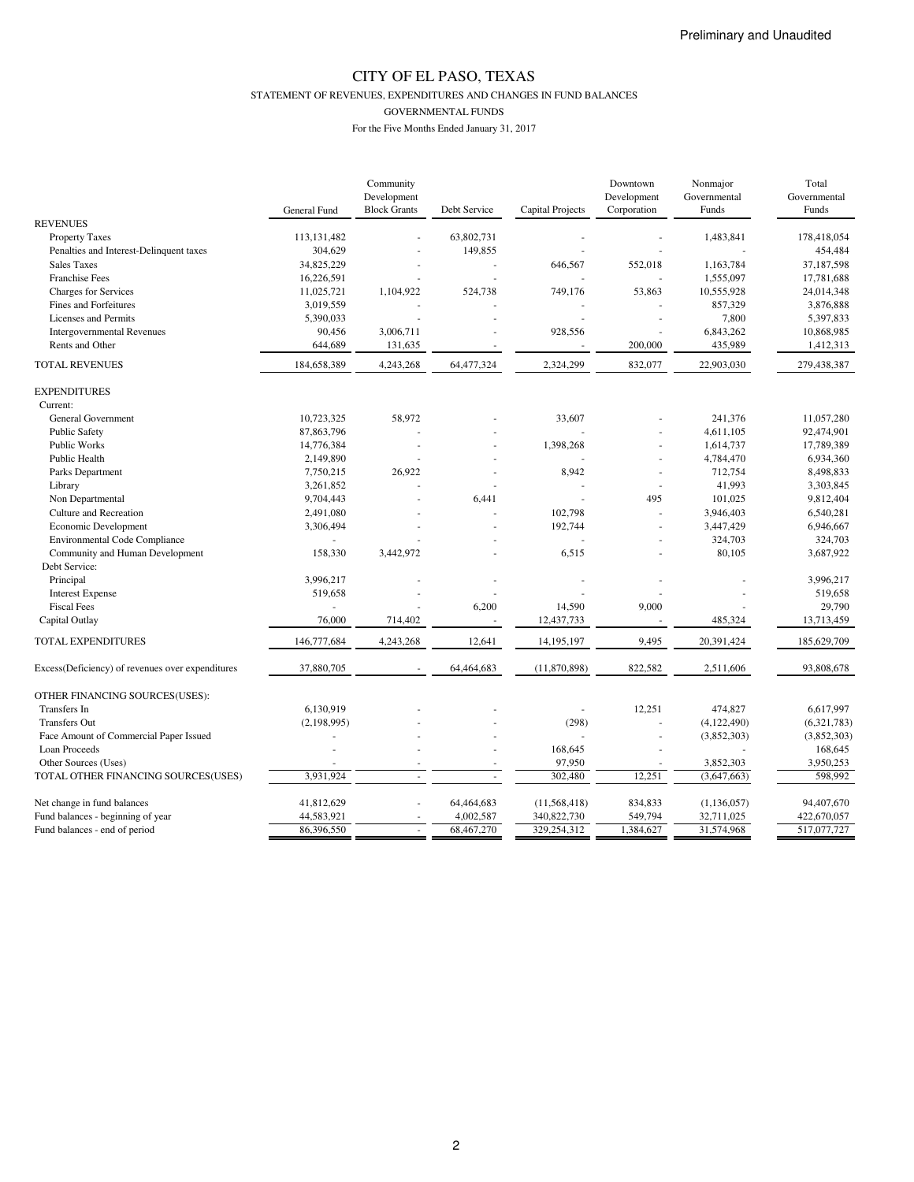STATEMENT OF REVENUES, EXPENDITURES AND CHANGES IN FUND BALANCES

GOVERNMENTAL FUNDS

|                                                  |               | Community           |              |                         | Downtown    | Nonmajor      | Total        |
|--------------------------------------------------|---------------|---------------------|--------------|-------------------------|-------------|---------------|--------------|
|                                                  |               | Development         |              |                         | Development | Governmental  | Governmental |
|                                                  | General Fund  | <b>Block Grants</b> | Debt Service | <b>Capital Projects</b> | Corporation | Funds         | Funds        |
| <b>REVENUES</b>                                  |               |                     |              |                         |             |               |              |
| <b>Property Taxes</b>                            | 113, 131, 482 |                     | 63,802,731   |                         |             | 1,483,841     | 178,418,054  |
| Penalties and Interest-Delinquent taxes          | 304,629       |                     | 149,855      |                         |             |               | 454,484      |
| <b>Sales Taxes</b>                               | 34,825,229    |                     |              | 646,567                 | 552,018     | 1,163,784     | 37,187,598   |
| Franchise Fees                                   | 16,226,591    |                     |              |                         |             | 1,555,097     | 17,781,688   |
| <b>Charges for Services</b>                      | 11,025,721    | 1,104,922           | 524,738      | 749,176                 | 53,863      | 10,555,928    | 24,014,348   |
| Fines and Forfeitures                            | 3,019,559     |                     |              |                         |             | 857,329       | 3,876,888    |
| <b>Licenses and Permits</b>                      | 5,390,033     |                     |              |                         |             | 7,800         | 5,397,833    |
| <b>Intergovernmental Revenues</b>                | 90,456        | 3,006,711           |              | 928,556                 | ä,          | 6,843,262     | 10,868,985   |
| Rents and Other                                  | 644,689       | 131,635             |              |                         | 200,000     | 435,989       | 1,412,313    |
| <b>TOTAL REVENUES</b>                            | 184,658,389   | 4,243,268           | 64,477,324   | 2,324,299               | 832,077     | 22,903,030    | 279,438,387  |
|                                                  |               |                     |              |                         |             |               |              |
| <b>EXPENDITURES</b>                              |               |                     |              |                         |             |               |              |
| Current:                                         |               |                     |              |                         |             |               |              |
| General Government                               | 10,723,325    | 58,972              |              | 33,607                  |             | 241,376       | 11,057,280   |
| <b>Public Safety</b>                             | 87,863,796    |                     |              |                         |             | 4,611,105     | 92,474,901   |
| Public Works                                     | 14,776,384    |                     |              | 1,398,268               | ä,          | 1,614,737     | 17,789,389   |
| Public Health                                    | 2,149,890     |                     |              |                         |             | 4,784,470     | 6,934,360    |
| Parks Department                                 | 7,750,215     | 26,922              |              | 8,942                   | ä,          | 712,754       | 8,498,833    |
| Library                                          | 3,261,852     |                     |              |                         | ÷,          | 41,993        | 3,303,845    |
| Non Departmental                                 | 9,704,443     |                     | 6,441        |                         | 495         | 101,025       | 9,812,404    |
| Culture and Recreation                           | 2,491,080     |                     |              | 102,798                 |             | 3,946,403     | 6,540,281    |
| Economic Development                             | 3,306,494     |                     |              | 192,744                 | J.          | 3,447,429     | 6,946,667    |
| <b>Environmental Code Compliance</b>             |               |                     |              |                         |             | 324,703       | 324,703      |
| Community and Human Development                  | 158,330       | 3,442,972           |              | 6,515                   |             | 80,105        | 3,687,922    |
| Debt Service:                                    |               |                     |              |                         |             |               |              |
| Principal                                        | 3,996,217     |                     |              |                         |             |               | 3,996,217    |
| <b>Interest Expense</b>                          | 519,658       |                     |              |                         |             |               | 519,658      |
| <b>Fiscal Fees</b>                               |               |                     | 6,200        | 14,590                  | 9.000       |               | 29,790       |
| Capital Outlay                                   | 76,000        | 714,402             |              | 12,437,733              |             | 485,324       | 13,713,459   |
| TOTAL EXPENDITURES                               | 146,777,684   | 4,243,268           | 12,641       | 14,195,197              | 9,495       | 20,391,424    | 185,629,709  |
|                                                  |               |                     |              |                         |             |               |              |
| Excess(Deficiency) of revenues over expenditures | 37,880,705    |                     | 64,464,683   | (11,870,898)            | 822,582     | 2,511,606     | 93,808,678   |
| OTHER FINANCING SOURCES(USES):                   |               |                     |              |                         |             |               |              |
| Transfers In                                     | 6,130,919     |                     |              |                         | 12,251      | 474,827       | 6,617,997    |
| <b>Transfers Out</b>                             | (2, 198, 995) |                     |              | (298)                   |             | (4,122,490)   | (6,321,783)  |
| Face Amount of Commercial Paper Issued           |               |                     |              |                         | ÷,          | (3,852,303)   | (3,852,303)  |
| Loan Proceeds                                    |               |                     |              | 168,645                 |             |               | 168,645      |
| Other Sources (Uses)                             |               |                     |              | 97,950                  |             | 3,852,303     | 3,950,253    |
|                                                  | 3.931.924     |                     |              | 302,480                 |             |               |              |
| TOTAL OTHER FINANCING SOURCES(USES)              |               |                     |              |                         | 12,251      | (3,647,663)   | 598,992      |
| Net change in fund balances                      | 41,812,629    |                     | 64,464,683   | (11,568,418)            | 834,833     | (1, 136, 057) | 94,407,670   |
| Fund balances - beginning of year                | 44,583,921    |                     | 4,002,587    | 340,822,730             | 549,794     | 32,711,025    | 422,670,057  |
| Fund balances - end of period                    | 86,396,550    |                     | 68,467,270   | 329,254,312             | 1,384,627   | 31,574,968    | 517,077,727  |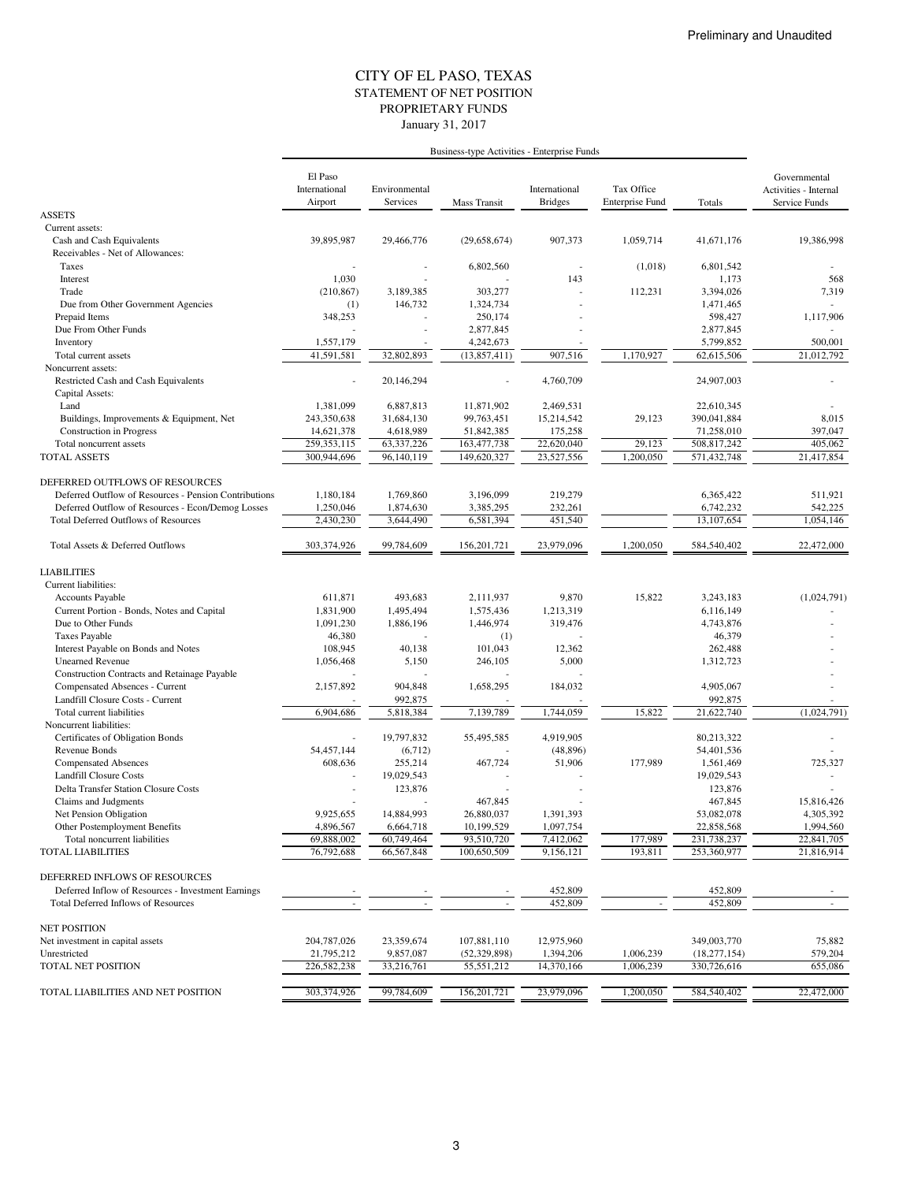#### STATEMENT OF NET POSITION CITY OF EL PASO, TEXAS January 31, 2017 PROPRIETARY FUNDS

|                                                         | El Paso<br>International<br>Airport | Environmental<br>Services | Mass Transit   | International<br><b>Bridges</b> | Tax Office<br><b>Enterprise Fund</b> | Totals         | Governmental<br>Activities - Internal<br>Service Funds |
|---------------------------------------------------------|-------------------------------------|---------------------------|----------------|---------------------------------|--------------------------------------|----------------|--------------------------------------------------------|
| <b>ASSETS</b>                                           |                                     |                           |                |                                 |                                      |                |                                                        |
| Current assets:                                         |                                     |                           |                |                                 |                                      |                |                                                        |
| Cash and Cash Equivalents                               | 39,895,987                          | 29,466,776                | (29,658,674)   | 907,373                         | 1,059,714                            | 41,671,176     | 19,386,998                                             |
| Receivables - Net of Allowances:                        |                                     |                           |                |                                 |                                      |                |                                                        |
| Taxes                                                   |                                     |                           | 6,802,560      | $\overline{\phantom{a}}$        | (1,018)                              | 6,801,542      |                                                        |
| Interest                                                | 1,030                               |                           |                | 143                             |                                      | 1,173          | 568                                                    |
| Trade                                                   | (210, 867)                          | 3,189,385                 | 303,277        |                                 | 112,231                              | 3,394,026      | 7,319                                                  |
| Due from Other Government Agencies                      | (1)                                 | 146,732                   | 1,324,734      |                                 |                                      | 1,471,465      |                                                        |
| Prepaid Items                                           | 348,253                             |                           | 250,174        |                                 |                                      | 598,427        | 1,117,906                                              |
| Due From Other Funds                                    |                                     |                           | 2,877,845      |                                 |                                      | 2,877,845      |                                                        |
| Inventory                                               | 1,557,179                           |                           | 4,242,673      |                                 |                                      | 5,799,852      | 500,001                                                |
| Total current assets                                    | 41,591,581                          | 32,802,893                | (13,857,411)   | 907,516                         | 1,170,927                            | 62,615,506     | 21,012,792                                             |
| Noncurrent assets:                                      |                                     |                           |                |                                 |                                      |                |                                                        |
| Restricted Cash and Cash Equivalents<br>Capital Assets: |                                     | 20,146,294                |                | 4,760,709                       |                                      | 24,907,003     |                                                        |
| Land                                                    | 1,381,099                           | 6,887,813                 | 11,871,902     | 2,469,531                       |                                      | 22,610,345     |                                                        |
| Buildings, Improvements & Equipment, Net                | 243,350,638                         | 31,684,130                | 99,763,451     | 15,214,542                      | 29,123                               | 390,041,884    | 8,015                                                  |
| <b>Construction</b> in Progress                         | 14,621,378                          | 4,618,989                 | 51,842,385     | 175,258                         |                                      | 71,258,010     | 397,047                                                |
| Total noncurrent assets                                 | 259, 353, 115                       | 63,337,226                | 163,477,738    | 22,620,040                      | 29,123                               | 508,817,242    | 405.062                                                |
| <b>TOTAL ASSETS</b>                                     | 300,944,696                         | 96,140,119                | 149,620,327    | 23,527,556                      | 1,200,050                            | 571,432,748    | 21,417,854                                             |
| DEFERRED OUTFLOWS OF RESOURCES                          |                                     |                           |                |                                 |                                      |                |                                                        |
| Deferred Outflow of Resources - Pension Contributions   | 1,180,184                           | 1.769.860                 | 3,196,099      | 219,279                         |                                      | 6.365.422      | 511,921                                                |
| Deferred Outflow of Resources - Econ/Demog Losses       | 1,250,046                           | 1,874,630                 | 3,385,295      | 232,261                         |                                      | 6,742,232      | 542,225                                                |
| <b>Total Deferred Outflows of Resources</b>             | 2,430,230                           | 3,644,490                 | 6,581,394      | 451,540                         |                                      | 13,107,654     | 1,054,146                                              |
| Total Assets & Deferred Outflows                        | 303,374,926                         | 99,784,609                | 156,201,721    | 23,979,096                      | 1,200,050                            | 584,540,402    | 22,472,000                                             |
| <b>LIABILITIES</b>                                      |                                     |                           |                |                                 |                                      |                |                                                        |
| Current liabilities:                                    |                                     |                           |                |                                 |                                      |                |                                                        |
| Accounts Payable                                        | 611,871                             | 493,683                   | 2,111,937      | 9,870                           | 15,822                               | 3,243,183      | (1,024,791)                                            |
| Current Portion - Bonds, Notes and Capital              | 1,831,900                           | 1,495,494                 | 1,575,436      | 1,213,319                       |                                      | 6,116,149      |                                                        |
| Due to Other Funds                                      | 1,091,230                           | 1,886,196                 | 1,446,974      | 319,476                         |                                      | 4,743,876      |                                                        |
| <b>Taxes Payable</b>                                    | 46,380                              |                           | (1)            |                                 |                                      | 46,379         |                                                        |
| Interest Payable on Bonds and Notes                     | 108,945                             | 40,138                    | 101,043        | 12,362                          |                                      | 262,488        |                                                        |
| <b>Unearned Revenue</b>                                 | 1,056,468                           | 5,150                     | 246,105        | 5,000                           |                                      | 1,312,723      |                                                        |
| Construction Contracts and Retainage Payable            |                                     |                           |                |                                 |                                      |                |                                                        |
| Compensated Absences - Current                          | 2,157,892                           | 904,848                   | 1,658,295      | 184,032                         |                                      | 4,905,067      |                                                        |
| Landfill Closure Costs - Current                        |                                     | 992,875                   |                |                                 |                                      | 992,875        |                                                        |
| Total current liabilities                               | 6,904,686                           | 5,818,384                 | 7,139,789      | 1,744,059                       | 15,822                               | 21,622,740     | (1,024,791)                                            |
| Noncurrent liabilities:                                 |                                     |                           |                |                                 |                                      |                |                                                        |
| Certificates of Obligation Bonds                        |                                     | 19,797,832                | 55,495,585     | 4,919,905                       |                                      | 80.213.322     |                                                        |
| Revenue Bonds                                           | 54,457,144                          | (6,712)                   |                | (48, 896)                       |                                      | 54,401,536     |                                                        |
| <b>Compensated Absences</b>                             | 608,636                             | 255,214                   | 467,724        | 51,906                          | 177,989                              | 1,561,469      | 725,327                                                |
| <b>Landfill Closure Costs</b>                           |                                     | 19,029,543                |                |                                 |                                      | 19,029,543     |                                                        |
| Delta Transfer Station Closure Costs                    |                                     | 123,876                   |                |                                 |                                      | 123,876        |                                                        |
| Claims and Judgments                                    |                                     |                           | 467,845        |                                 |                                      | 467,845        | 15,816,426                                             |
| Net Pension Obligation                                  | 9,925,655                           | 14,884,993                | 26,880,037     | 1,391,393                       |                                      | 53,082,078     | 4,305,392                                              |
| Other Postemployment Benefits                           | 4,896,567                           | 6,664,718                 | 10,199,529     | 1,097,754                       |                                      | 22,858,568     | 1,994,560                                              |
| Total noncurrent liabilities                            | 69,888,002                          | 60,749,464                | 93,510,720     | 7,412,062                       | 177,989                              | 231,738,237    | 22,841,705                                             |
| <b>TOTAL LIABILITIES</b>                                | 76,792,688                          | 66,567,848                | 100,650,509    | 9,156,121                       | 193,811                              | 253,360,977    | 21,816,914                                             |
|                                                         |                                     |                           |                |                                 |                                      |                |                                                        |
| DEFERRED INFLOWS OF RESOURCES                           |                                     |                           |                |                                 |                                      |                |                                                        |
| Deferred Inflow of Resources - Investment Earnings      |                                     |                           |                | 452,809                         |                                      | 452,809        |                                                        |
| Total Deferred Inflows of Resources                     |                                     |                           |                | 452,809                         | $\overline{\phantom{a}}$             | 452,809        |                                                        |
| <b>NET POSITION</b>                                     |                                     |                           |                |                                 |                                      |                |                                                        |
| Net investment in capital assets                        | 204,787,026                         | 23,359,674                | 107,881,110    | 12,975,960                      |                                      | 349,003,770    | 75,882                                                 |
| Unrestricted                                            | 21,795,212                          | 9,857,087                 | (52, 329, 898) | 1,394,206                       | 1,006,239                            | (18, 277, 154) | 579,204                                                |
| TOTAL NET POSITION                                      | 226,582,238                         | 33,216,761                | 55,551,212     | 14,370,166                      | 1,006,239                            | 330,726,616    | 655,086                                                |
|                                                         |                                     |                           |                |                                 |                                      |                |                                                        |
| TOTAL LIABILITIES AND NET POSITION                      | 303,374,926                         | 99,784,609                | 156,201,721    | 23,979,096                      | 1,200,050                            | 584,540,402    | 22,472,000                                             |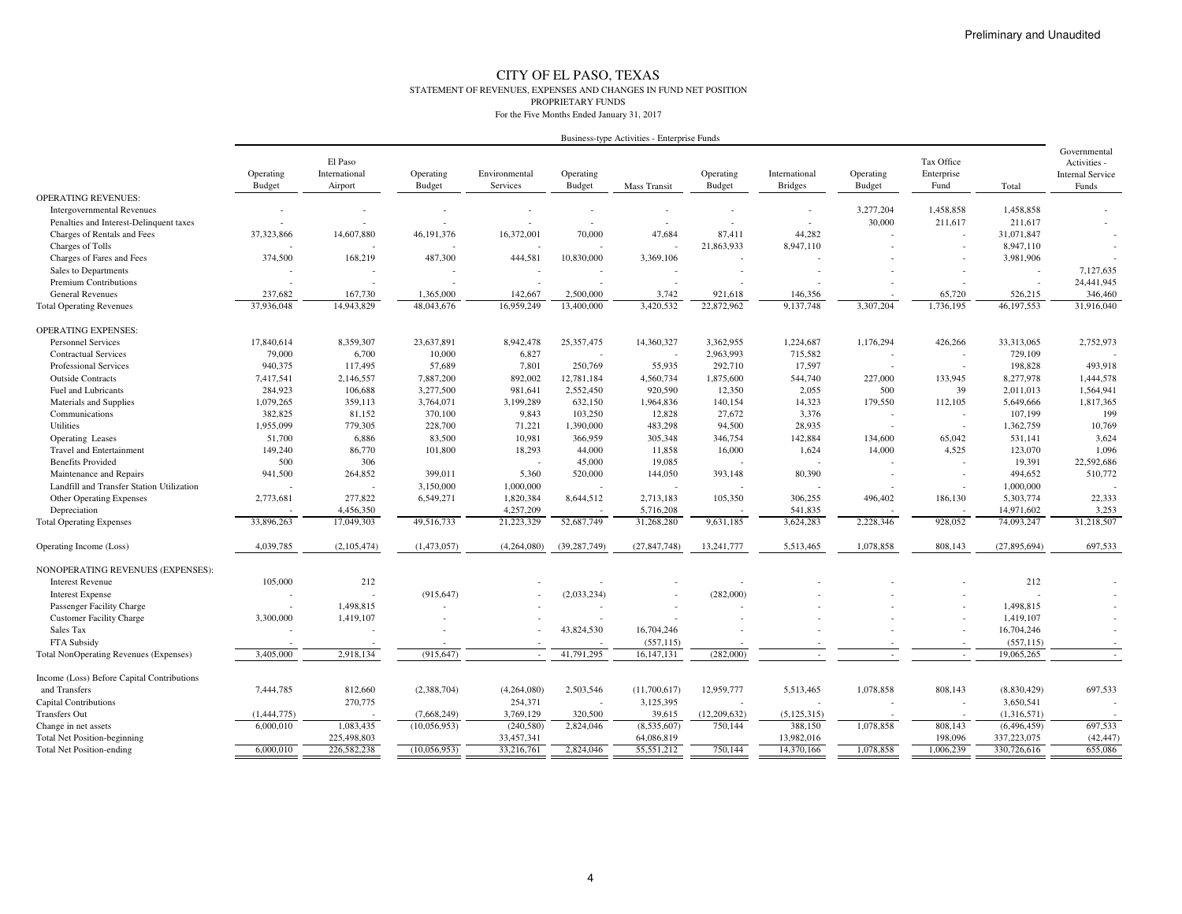#### CITY OF EL PASO, TEXAS STATEMENT OF REVENUES, EXPENSES AND CHANGES IN FUND NET POSITIONPROPRIETARY FUNDS

| Tax Office<br>El Paso<br>Activities -<br>International<br>Operating<br>Operating<br>Environmental<br>Operating<br>Operating<br>International<br>Operating<br>Enterprise<br><b>Internal Service</b><br><b>Budget</b><br><b>Budget</b><br>Services<br><b>Budget</b><br><b>Budget</b><br><b>Bridges</b><br><b>Budget</b><br>Fund<br>Airport<br>Mass Transit<br>Total<br>Funds<br><b>OPERATING REVENUES:</b><br>3,277,204<br>1,458,858<br>1.458.858<br><b>Intergovernmental Revenues</b><br>30,000<br>211,617<br>Penalties and Interest-Delinquent taxes<br>211,617<br>$\overline{\phantom{a}}$<br>Charges of Rentals and Fees<br>37,323,866<br>14,607,880<br>46, 191, 376<br>16,372,001<br>70,000<br>47,684<br>87,411<br>44,282<br>31,071,847<br>21,863,933<br>Charges of Tolls<br>8,947,110<br>8,947,110<br>374,500<br>168,219<br>487,300<br>444,581<br>10,830,000<br>Charges of Fares and Fees<br>3,369,106<br>3,981,906<br>7,127,635<br>Sales to Departments<br>24,441,945<br><b>Premium Contributions</b><br><b>General Revenues</b><br>237,682<br>167,730<br>1,365,000<br>142,667<br>2,500,000<br>3,742<br>65,720<br>526,215<br>346,460<br>921,618<br>146,356<br>14,943,829<br>13,400,000<br>3.420.532<br>22,872,962<br>9,137,748<br>1,736,195<br>46,197,553<br>31,916,040<br>37,936,048<br>48,043,676<br>16,959,249<br>3,307,204<br><b>Total Operating Revenues</b><br><b>OPERATING EXPENSES:</b><br>17,840,614<br>8,359,307<br>23,637,891<br>8,942,478<br>25,357,475<br>14,360,327<br>3,362,955<br>1,224,687<br>1,176,294<br>426,266<br>33,313,065<br>2,752,973<br><b>Personnel Services</b><br>79,000<br>6,700<br>10,000<br>6,827<br>2,963,993<br>715,582<br><b>Contractual Services</b><br>729,109<br><b>Professional Services</b><br>940,375<br>117,495<br>57,689<br>7,801<br>250,769<br>55,935<br>292,710<br>17,597<br>198,828<br>493,918<br>892,002<br>8,277,978<br>1,444,578<br><b>Outside Contracts</b><br>7,417,541<br>2,146,557<br>7,887,200<br>12,781,184<br>4,560,734<br>1,875,600<br>544,740<br>227,000<br>133,945<br>Fuel and Lubricants<br>284,923<br>106,688<br>3,277,500<br>981,641<br>2,552,450<br>920,590<br>12,350<br>2,055<br>500<br>39<br>2,011,013<br>1,564,941<br>Materials and Supplies<br>1,079,265<br>359,113<br>3,764,071<br>3,199,289<br>632,150<br>1,964,836<br>140,154<br>14,323<br>179,550<br>112,105<br>5,649,666<br>1,817,365<br>27,672<br>3,376<br>199<br>Communications<br>382,825<br>81,152<br>370,100<br>9,843<br>103,250<br>12,828<br>107,199<br><b>Utilities</b><br>1,955,099<br>779,305<br>228,700<br>71,221<br>1,390,000<br>483,298<br>94,500<br>28,935<br>1,362,759<br>10,769<br>$\overline{\phantom{a}}$<br>51,700<br>6,886<br>83,500<br>10,981<br>366,959<br>305,348<br>346,754<br>142,884<br>65,042<br>3,624<br>Operating Leases<br>134,600<br>531,141<br>1,096<br><b>Travel and Entertainment</b><br>149,240<br>86,770<br>101,800<br>18,293<br>44,000<br>11,858<br>16,000<br>1,624<br>4,525<br>123,070<br>14,000<br>500<br>306<br>45,000<br>19.085<br>19,391<br>22,592,686<br><b>Benefits Provided</b><br>941,500<br>5,360<br>80,390<br>510,772<br>Maintenance and Repairs<br>264,852<br>399,011<br>520,000<br>144,050<br>393,148<br>494,652<br>3,150,000<br>1,000,000<br>Landfill and Transfer Station Utilization<br>1,000,000<br>$\overline{\phantom{a}}$<br>22,333<br><b>Other Operating Expenses</b><br>2,773,681<br>277,822<br>6,549,271<br>1,820,384<br>8,644,512<br>2,713,183<br>105,350<br>306,255<br>496,402<br>186,130<br>5,303,774<br>4,456,350<br>4,257,209<br>541,835<br>14,971,602<br>3,253<br>Depreciation<br>5,716,208<br>17,049,303<br>49,516,733<br>21,223,329<br>52,687,749<br>31,268,280<br>3,624,283<br>2,228,346<br>928,052<br>74,093,247<br>31,218,507<br><b>Total Operating Expenses</b><br>33,896,263<br>9,631,185<br>697,533<br>4,039,785<br>(2,105,474)<br>(1,473,057)<br>(39, 287, 749)<br>(27, 847, 748)<br>13,241,777<br>5,513,465<br>1,078,858<br>808.143<br>(27, 895, 694)<br>(4.264.080)<br>Operating Income (Loss)<br>NONOPERATING REVENUES (EXPENSES):<br>105,000<br>212<br>212<br><b>Interest Revenue</b><br>(915, 647)<br>(2,033,234)<br>(282,000)<br><b>Interest Expense</b><br>1,498,815<br>1,498,815<br>Passenger Facility Charge<br><b>Customer Facility Charge</b><br>3,300,000<br>1,419,107<br>1,419,107<br>43,824,530<br>16,704,246<br>Sales Tax<br>16,704,246<br>(557, 115)<br>FTA Subsidy<br>(557, 115)<br>3,405,000<br>2,918,134<br>(915, 647)<br>41,791,295<br>(282,000)<br>19,065,265<br>16,147,131<br><b>Total NonOperating Revenues (Expenses)</b><br>Income (Loss) Before Capital Contributions<br>697,533<br>and Transfers<br>7,444,785<br>812,660<br>(2,388,704)<br>(4,264,080)<br>2,503,546<br>(11,700,617)<br>12,959,777<br>5,513,465<br>1,078,858<br>808,143<br>(8,830,429)<br>270,775<br>Capital Contributions<br>254,371<br>3,125,395<br>3,650,541<br>3,769,129<br>320,500<br>39,615<br><b>Transfers Out</b><br>(1,444,775)<br>(7,668,249)<br>(12,209,632)<br>(5, 125, 315)<br>(1,316,571)<br>(240, 580)<br>697,533<br>6,000,010<br>1,083,435<br>(10,056,953)<br>2,824,046<br>(8,535,607)<br>750,144<br>388,150<br>1,078,858<br>808,143<br>(6,496,459)<br>Change in net assets<br>(42, 447)<br><b>Total Net Position-beginning</b><br>225,498,803<br>33,457,341<br>64,086,819<br>13,982,016<br>198,096<br>337,223,075 |                                  | Business-type Activities - Enterprise Funds |             |              |            |           |            |         |            |           |           |             |              |
|-------------------------------------------------------------------------------------------------------------------------------------------------------------------------------------------------------------------------------------------------------------------------------------------------------------------------------------------------------------------------------------------------------------------------------------------------------------------------------------------------------------------------------------------------------------------------------------------------------------------------------------------------------------------------------------------------------------------------------------------------------------------------------------------------------------------------------------------------------------------------------------------------------------------------------------------------------------------------------------------------------------------------------------------------------------------------------------------------------------------------------------------------------------------------------------------------------------------------------------------------------------------------------------------------------------------------------------------------------------------------------------------------------------------------------------------------------------------------------------------------------------------------------------------------------------------------------------------------------------------------------------------------------------------------------------------------------------------------------------------------------------------------------------------------------------------------------------------------------------------------------------------------------------------------------------------------------------------------------------------------------------------------------------------------------------------------------------------------------------------------------------------------------------------------------------------------------------------------------------------------------------------------------------------------------------------------------------------------------------------------------------------------------------------------------------------------------------------------------------------------------------------------------------------------------------------------------------------------------------------------------------------------------------------------------------------------------------------------------------------------------------------------------------------------------------------------------------------------------------------------------------------------------------------------------------------------------------------------------------------------------------------------------------------------------------------------------------------------------------------------------------------------------------------------------------------------------------------------------------------------------------------------------------------------------------------------------------------------------------------------------------------------------------------------------------------------------------------------------------------------------------------------------------------------------------------------------------------------------------------------------------------------------------------------------------------------------------------------------------------------------------------------------------------------------------------------------------------------------------------------------------------------------------------------------------------------------------------------------------------------------------------------------------------------------------------------------------------------------------------------------------------------------------------------------------------------------------------------------------------------------------------------------------------------------------------------------------------------------------------------------------------------------------------------------------------------------------------------------------------------------------------------------------------------------------------------------------------------------------------------------------------------------------------------------------------------------------------------------------------------------------------------------------------------------------------------------------------------------------------------------------------------------------------------------------------------------------------------------------------------------------------------------------------------------------------------------------------------------------------------------------------------------------------------------------------------------------------------------------------------------------------------------------------------------------------------------------|----------------------------------|---------------------------------------------|-------------|--------------|------------|-----------|------------|---------|------------|-----------|-----------|-------------|--------------|
|                                                                                                                                                                                                                                                                                                                                                                                                                                                                                                                                                                                                                                                                                                                                                                                                                                                                                                                                                                                                                                                                                                                                                                                                                                                                                                                                                                                                                                                                                                                                                                                                                                                                                                                                                                                                                                                                                                                                                                                                                                                                                                                                                                                                                                                                                                                                                                                                                                                                                                                                                                                                                                                                                                                                                                                                                                                                                                                                                                                                                                                                                                                                                                                                                                                                                                                                                                                                                                                                                                                                                                                                                                                                                                                                                                                                                                                                                                                                                                                                                                                                                                                                                                                                                                                                                                                                                                                                                                                                                                                                                                                                                                                                                                                                                                                                                                                                                                                                                                                                                                                                                                                                                                                                                                                                                                                                     |                                  |                                             |             |              |            |           |            |         |            |           |           |             | Governmental |
|                                                                                                                                                                                                                                                                                                                                                                                                                                                                                                                                                                                                                                                                                                                                                                                                                                                                                                                                                                                                                                                                                                                                                                                                                                                                                                                                                                                                                                                                                                                                                                                                                                                                                                                                                                                                                                                                                                                                                                                                                                                                                                                                                                                                                                                                                                                                                                                                                                                                                                                                                                                                                                                                                                                                                                                                                                                                                                                                                                                                                                                                                                                                                                                                                                                                                                                                                                                                                                                                                                                                                                                                                                                                                                                                                                                                                                                                                                                                                                                                                                                                                                                                                                                                                                                                                                                                                                                                                                                                                                                                                                                                                                                                                                                                                                                                                                                                                                                                                                                                                                                                                                                                                                                                                                                                                                                                     |                                  |                                             |             |              |            |           |            |         |            |           |           |             |              |
|                                                                                                                                                                                                                                                                                                                                                                                                                                                                                                                                                                                                                                                                                                                                                                                                                                                                                                                                                                                                                                                                                                                                                                                                                                                                                                                                                                                                                                                                                                                                                                                                                                                                                                                                                                                                                                                                                                                                                                                                                                                                                                                                                                                                                                                                                                                                                                                                                                                                                                                                                                                                                                                                                                                                                                                                                                                                                                                                                                                                                                                                                                                                                                                                                                                                                                                                                                                                                                                                                                                                                                                                                                                                                                                                                                                                                                                                                                                                                                                                                                                                                                                                                                                                                                                                                                                                                                                                                                                                                                                                                                                                                                                                                                                                                                                                                                                                                                                                                                                                                                                                                                                                                                                                                                                                                                                                     |                                  |                                             |             |              |            |           |            |         |            |           |           |             |              |
|                                                                                                                                                                                                                                                                                                                                                                                                                                                                                                                                                                                                                                                                                                                                                                                                                                                                                                                                                                                                                                                                                                                                                                                                                                                                                                                                                                                                                                                                                                                                                                                                                                                                                                                                                                                                                                                                                                                                                                                                                                                                                                                                                                                                                                                                                                                                                                                                                                                                                                                                                                                                                                                                                                                                                                                                                                                                                                                                                                                                                                                                                                                                                                                                                                                                                                                                                                                                                                                                                                                                                                                                                                                                                                                                                                                                                                                                                                                                                                                                                                                                                                                                                                                                                                                                                                                                                                                                                                                                                                                                                                                                                                                                                                                                                                                                                                                                                                                                                                                                                                                                                                                                                                                                                                                                                                                                     |                                  |                                             |             |              |            |           |            |         |            |           |           |             |              |
|                                                                                                                                                                                                                                                                                                                                                                                                                                                                                                                                                                                                                                                                                                                                                                                                                                                                                                                                                                                                                                                                                                                                                                                                                                                                                                                                                                                                                                                                                                                                                                                                                                                                                                                                                                                                                                                                                                                                                                                                                                                                                                                                                                                                                                                                                                                                                                                                                                                                                                                                                                                                                                                                                                                                                                                                                                                                                                                                                                                                                                                                                                                                                                                                                                                                                                                                                                                                                                                                                                                                                                                                                                                                                                                                                                                                                                                                                                                                                                                                                                                                                                                                                                                                                                                                                                                                                                                                                                                                                                                                                                                                                                                                                                                                                                                                                                                                                                                                                                                                                                                                                                                                                                                                                                                                                                                                     |                                  |                                             |             |              |            |           |            |         |            |           |           |             |              |
|                                                                                                                                                                                                                                                                                                                                                                                                                                                                                                                                                                                                                                                                                                                                                                                                                                                                                                                                                                                                                                                                                                                                                                                                                                                                                                                                                                                                                                                                                                                                                                                                                                                                                                                                                                                                                                                                                                                                                                                                                                                                                                                                                                                                                                                                                                                                                                                                                                                                                                                                                                                                                                                                                                                                                                                                                                                                                                                                                                                                                                                                                                                                                                                                                                                                                                                                                                                                                                                                                                                                                                                                                                                                                                                                                                                                                                                                                                                                                                                                                                                                                                                                                                                                                                                                                                                                                                                                                                                                                                                                                                                                                                                                                                                                                                                                                                                                                                                                                                                                                                                                                                                                                                                                                                                                                                                                     |                                  |                                             |             |              |            |           |            |         |            |           |           |             |              |
|                                                                                                                                                                                                                                                                                                                                                                                                                                                                                                                                                                                                                                                                                                                                                                                                                                                                                                                                                                                                                                                                                                                                                                                                                                                                                                                                                                                                                                                                                                                                                                                                                                                                                                                                                                                                                                                                                                                                                                                                                                                                                                                                                                                                                                                                                                                                                                                                                                                                                                                                                                                                                                                                                                                                                                                                                                                                                                                                                                                                                                                                                                                                                                                                                                                                                                                                                                                                                                                                                                                                                                                                                                                                                                                                                                                                                                                                                                                                                                                                                                                                                                                                                                                                                                                                                                                                                                                                                                                                                                                                                                                                                                                                                                                                                                                                                                                                                                                                                                                                                                                                                                                                                                                                                                                                                                                                     |                                  |                                             |             |              |            |           |            |         |            |           |           |             |              |
|                                                                                                                                                                                                                                                                                                                                                                                                                                                                                                                                                                                                                                                                                                                                                                                                                                                                                                                                                                                                                                                                                                                                                                                                                                                                                                                                                                                                                                                                                                                                                                                                                                                                                                                                                                                                                                                                                                                                                                                                                                                                                                                                                                                                                                                                                                                                                                                                                                                                                                                                                                                                                                                                                                                                                                                                                                                                                                                                                                                                                                                                                                                                                                                                                                                                                                                                                                                                                                                                                                                                                                                                                                                                                                                                                                                                                                                                                                                                                                                                                                                                                                                                                                                                                                                                                                                                                                                                                                                                                                                                                                                                                                                                                                                                                                                                                                                                                                                                                                                                                                                                                                                                                                                                                                                                                                                                     |                                  |                                             |             |              |            |           |            |         |            |           |           |             |              |
|                                                                                                                                                                                                                                                                                                                                                                                                                                                                                                                                                                                                                                                                                                                                                                                                                                                                                                                                                                                                                                                                                                                                                                                                                                                                                                                                                                                                                                                                                                                                                                                                                                                                                                                                                                                                                                                                                                                                                                                                                                                                                                                                                                                                                                                                                                                                                                                                                                                                                                                                                                                                                                                                                                                                                                                                                                                                                                                                                                                                                                                                                                                                                                                                                                                                                                                                                                                                                                                                                                                                                                                                                                                                                                                                                                                                                                                                                                                                                                                                                                                                                                                                                                                                                                                                                                                                                                                                                                                                                                                                                                                                                                                                                                                                                                                                                                                                                                                                                                                                                                                                                                                                                                                                                                                                                                                                     |                                  |                                             |             |              |            |           |            |         |            |           |           |             |              |
|                                                                                                                                                                                                                                                                                                                                                                                                                                                                                                                                                                                                                                                                                                                                                                                                                                                                                                                                                                                                                                                                                                                                                                                                                                                                                                                                                                                                                                                                                                                                                                                                                                                                                                                                                                                                                                                                                                                                                                                                                                                                                                                                                                                                                                                                                                                                                                                                                                                                                                                                                                                                                                                                                                                                                                                                                                                                                                                                                                                                                                                                                                                                                                                                                                                                                                                                                                                                                                                                                                                                                                                                                                                                                                                                                                                                                                                                                                                                                                                                                                                                                                                                                                                                                                                                                                                                                                                                                                                                                                                                                                                                                                                                                                                                                                                                                                                                                                                                                                                                                                                                                                                                                                                                                                                                                                                                     |                                  |                                             |             |              |            |           |            |         |            |           |           |             |              |
|                                                                                                                                                                                                                                                                                                                                                                                                                                                                                                                                                                                                                                                                                                                                                                                                                                                                                                                                                                                                                                                                                                                                                                                                                                                                                                                                                                                                                                                                                                                                                                                                                                                                                                                                                                                                                                                                                                                                                                                                                                                                                                                                                                                                                                                                                                                                                                                                                                                                                                                                                                                                                                                                                                                                                                                                                                                                                                                                                                                                                                                                                                                                                                                                                                                                                                                                                                                                                                                                                                                                                                                                                                                                                                                                                                                                                                                                                                                                                                                                                                                                                                                                                                                                                                                                                                                                                                                                                                                                                                                                                                                                                                                                                                                                                                                                                                                                                                                                                                                                                                                                                                                                                                                                                                                                                                                                     |                                  |                                             |             |              |            |           |            |         |            |           |           |             |              |
|                                                                                                                                                                                                                                                                                                                                                                                                                                                                                                                                                                                                                                                                                                                                                                                                                                                                                                                                                                                                                                                                                                                                                                                                                                                                                                                                                                                                                                                                                                                                                                                                                                                                                                                                                                                                                                                                                                                                                                                                                                                                                                                                                                                                                                                                                                                                                                                                                                                                                                                                                                                                                                                                                                                                                                                                                                                                                                                                                                                                                                                                                                                                                                                                                                                                                                                                                                                                                                                                                                                                                                                                                                                                                                                                                                                                                                                                                                                                                                                                                                                                                                                                                                                                                                                                                                                                                                                                                                                                                                                                                                                                                                                                                                                                                                                                                                                                                                                                                                                                                                                                                                                                                                                                                                                                                                                                     |                                  |                                             |             |              |            |           |            |         |            |           |           |             |              |
|                                                                                                                                                                                                                                                                                                                                                                                                                                                                                                                                                                                                                                                                                                                                                                                                                                                                                                                                                                                                                                                                                                                                                                                                                                                                                                                                                                                                                                                                                                                                                                                                                                                                                                                                                                                                                                                                                                                                                                                                                                                                                                                                                                                                                                                                                                                                                                                                                                                                                                                                                                                                                                                                                                                                                                                                                                                                                                                                                                                                                                                                                                                                                                                                                                                                                                                                                                                                                                                                                                                                                                                                                                                                                                                                                                                                                                                                                                                                                                                                                                                                                                                                                                                                                                                                                                                                                                                                                                                                                                                                                                                                                                                                                                                                                                                                                                                                                                                                                                                                                                                                                                                                                                                                                                                                                                                                     |                                  |                                             |             |              |            |           |            |         |            |           |           |             |              |
|                                                                                                                                                                                                                                                                                                                                                                                                                                                                                                                                                                                                                                                                                                                                                                                                                                                                                                                                                                                                                                                                                                                                                                                                                                                                                                                                                                                                                                                                                                                                                                                                                                                                                                                                                                                                                                                                                                                                                                                                                                                                                                                                                                                                                                                                                                                                                                                                                                                                                                                                                                                                                                                                                                                                                                                                                                                                                                                                                                                                                                                                                                                                                                                                                                                                                                                                                                                                                                                                                                                                                                                                                                                                                                                                                                                                                                                                                                                                                                                                                                                                                                                                                                                                                                                                                                                                                                                                                                                                                                                                                                                                                                                                                                                                                                                                                                                                                                                                                                                                                                                                                                                                                                                                                                                                                                                                     |                                  |                                             |             |              |            |           |            |         |            |           |           |             |              |
|                                                                                                                                                                                                                                                                                                                                                                                                                                                                                                                                                                                                                                                                                                                                                                                                                                                                                                                                                                                                                                                                                                                                                                                                                                                                                                                                                                                                                                                                                                                                                                                                                                                                                                                                                                                                                                                                                                                                                                                                                                                                                                                                                                                                                                                                                                                                                                                                                                                                                                                                                                                                                                                                                                                                                                                                                                                                                                                                                                                                                                                                                                                                                                                                                                                                                                                                                                                                                                                                                                                                                                                                                                                                                                                                                                                                                                                                                                                                                                                                                                                                                                                                                                                                                                                                                                                                                                                                                                                                                                                                                                                                                                                                                                                                                                                                                                                                                                                                                                                                                                                                                                                                                                                                                                                                                                                                     |                                  |                                             |             |              |            |           |            |         |            |           |           |             |              |
|                                                                                                                                                                                                                                                                                                                                                                                                                                                                                                                                                                                                                                                                                                                                                                                                                                                                                                                                                                                                                                                                                                                                                                                                                                                                                                                                                                                                                                                                                                                                                                                                                                                                                                                                                                                                                                                                                                                                                                                                                                                                                                                                                                                                                                                                                                                                                                                                                                                                                                                                                                                                                                                                                                                                                                                                                                                                                                                                                                                                                                                                                                                                                                                                                                                                                                                                                                                                                                                                                                                                                                                                                                                                                                                                                                                                                                                                                                                                                                                                                                                                                                                                                                                                                                                                                                                                                                                                                                                                                                                                                                                                                                                                                                                                                                                                                                                                                                                                                                                                                                                                                                                                                                                                                                                                                                                                     |                                  |                                             |             |              |            |           |            |         |            |           |           |             |              |
|                                                                                                                                                                                                                                                                                                                                                                                                                                                                                                                                                                                                                                                                                                                                                                                                                                                                                                                                                                                                                                                                                                                                                                                                                                                                                                                                                                                                                                                                                                                                                                                                                                                                                                                                                                                                                                                                                                                                                                                                                                                                                                                                                                                                                                                                                                                                                                                                                                                                                                                                                                                                                                                                                                                                                                                                                                                                                                                                                                                                                                                                                                                                                                                                                                                                                                                                                                                                                                                                                                                                                                                                                                                                                                                                                                                                                                                                                                                                                                                                                                                                                                                                                                                                                                                                                                                                                                                                                                                                                                                                                                                                                                                                                                                                                                                                                                                                                                                                                                                                                                                                                                                                                                                                                                                                                                                                     |                                  |                                             |             |              |            |           |            |         |            |           |           |             |              |
|                                                                                                                                                                                                                                                                                                                                                                                                                                                                                                                                                                                                                                                                                                                                                                                                                                                                                                                                                                                                                                                                                                                                                                                                                                                                                                                                                                                                                                                                                                                                                                                                                                                                                                                                                                                                                                                                                                                                                                                                                                                                                                                                                                                                                                                                                                                                                                                                                                                                                                                                                                                                                                                                                                                                                                                                                                                                                                                                                                                                                                                                                                                                                                                                                                                                                                                                                                                                                                                                                                                                                                                                                                                                                                                                                                                                                                                                                                                                                                                                                                                                                                                                                                                                                                                                                                                                                                                                                                                                                                                                                                                                                                                                                                                                                                                                                                                                                                                                                                                                                                                                                                                                                                                                                                                                                                                                     |                                  |                                             |             |              |            |           |            |         |            |           |           |             |              |
|                                                                                                                                                                                                                                                                                                                                                                                                                                                                                                                                                                                                                                                                                                                                                                                                                                                                                                                                                                                                                                                                                                                                                                                                                                                                                                                                                                                                                                                                                                                                                                                                                                                                                                                                                                                                                                                                                                                                                                                                                                                                                                                                                                                                                                                                                                                                                                                                                                                                                                                                                                                                                                                                                                                                                                                                                                                                                                                                                                                                                                                                                                                                                                                                                                                                                                                                                                                                                                                                                                                                                                                                                                                                                                                                                                                                                                                                                                                                                                                                                                                                                                                                                                                                                                                                                                                                                                                                                                                                                                                                                                                                                                                                                                                                                                                                                                                                                                                                                                                                                                                                                                                                                                                                                                                                                                                                     |                                  |                                             |             |              |            |           |            |         |            |           |           |             |              |
|                                                                                                                                                                                                                                                                                                                                                                                                                                                                                                                                                                                                                                                                                                                                                                                                                                                                                                                                                                                                                                                                                                                                                                                                                                                                                                                                                                                                                                                                                                                                                                                                                                                                                                                                                                                                                                                                                                                                                                                                                                                                                                                                                                                                                                                                                                                                                                                                                                                                                                                                                                                                                                                                                                                                                                                                                                                                                                                                                                                                                                                                                                                                                                                                                                                                                                                                                                                                                                                                                                                                                                                                                                                                                                                                                                                                                                                                                                                                                                                                                                                                                                                                                                                                                                                                                                                                                                                                                                                                                                                                                                                                                                                                                                                                                                                                                                                                                                                                                                                                                                                                                                                                                                                                                                                                                                                                     |                                  |                                             |             |              |            |           |            |         |            |           |           |             |              |
|                                                                                                                                                                                                                                                                                                                                                                                                                                                                                                                                                                                                                                                                                                                                                                                                                                                                                                                                                                                                                                                                                                                                                                                                                                                                                                                                                                                                                                                                                                                                                                                                                                                                                                                                                                                                                                                                                                                                                                                                                                                                                                                                                                                                                                                                                                                                                                                                                                                                                                                                                                                                                                                                                                                                                                                                                                                                                                                                                                                                                                                                                                                                                                                                                                                                                                                                                                                                                                                                                                                                                                                                                                                                                                                                                                                                                                                                                                                                                                                                                                                                                                                                                                                                                                                                                                                                                                                                                                                                                                                                                                                                                                                                                                                                                                                                                                                                                                                                                                                                                                                                                                                                                                                                                                                                                                                                     |                                  |                                             |             |              |            |           |            |         |            |           |           |             |              |
|                                                                                                                                                                                                                                                                                                                                                                                                                                                                                                                                                                                                                                                                                                                                                                                                                                                                                                                                                                                                                                                                                                                                                                                                                                                                                                                                                                                                                                                                                                                                                                                                                                                                                                                                                                                                                                                                                                                                                                                                                                                                                                                                                                                                                                                                                                                                                                                                                                                                                                                                                                                                                                                                                                                                                                                                                                                                                                                                                                                                                                                                                                                                                                                                                                                                                                                                                                                                                                                                                                                                                                                                                                                                                                                                                                                                                                                                                                                                                                                                                                                                                                                                                                                                                                                                                                                                                                                                                                                                                                                                                                                                                                                                                                                                                                                                                                                                                                                                                                                                                                                                                                                                                                                                                                                                                                                                     |                                  |                                             |             |              |            |           |            |         |            |           |           |             |              |
|                                                                                                                                                                                                                                                                                                                                                                                                                                                                                                                                                                                                                                                                                                                                                                                                                                                                                                                                                                                                                                                                                                                                                                                                                                                                                                                                                                                                                                                                                                                                                                                                                                                                                                                                                                                                                                                                                                                                                                                                                                                                                                                                                                                                                                                                                                                                                                                                                                                                                                                                                                                                                                                                                                                                                                                                                                                                                                                                                                                                                                                                                                                                                                                                                                                                                                                                                                                                                                                                                                                                                                                                                                                                                                                                                                                                                                                                                                                                                                                                                                                                                                                                                                                                                                                                                                                                                                                                                                                                                                                                                                                                                                                                                                                                                                                                                                                                                                                                                                                                                                                                                                                                                                                                                                                                                                                                     |                                  |                                             |             |              |            |           |            |         |            |           |           |             |              |
|                                                                                                                                                                                                                                                                                                                                                                                                                                                                                                                                                                                                                                                                                                                                                                                                                                                                                                                                                                                                                                                                                                                                                                                                                                                                                                                                                                                                                                                                                                                                                                                                                                                                                                                                                                                                                                                                                                                                                                                                                                                                                                                                                                                                                                                                                                                                                                                                                                                                                                                                                                                                                                                                                                                                                                                                                                                                                                                                                                                                                                                                                                                                                                                                                                                                                                                                                                                                                                                                                                                                                                                                                                                                                                                                                                                                                                                                                                                                                                                                                                                                                                                                                                                                                                                                                                                                                                                                                                                                                                                                                                                                                                                                                                                                                                                                                                                                                                                                                                                                                                                                                                                                                                                                                                                                                                                                     |                                  |                                             |             |              |            |           |            |         |            |           |           |             |              |
|                                                                                                                                                                                                                                                                                                                                                                                                                                                                                                                                                                                                                                                                                                                                                                                                                                                                                                                                                                                                                                                                                                                                                                                                                                                                                                                                                                                                                                                                                                                                                                                                                                                                                                                                                                                                                                                                                                                                                                                                                                                                                                                                                                                                                                                                                                                                                                                                                                                                                                                                                                                                                                                                                                                                                                                                                                                                                                                                                                                                                                                                                                                                                                                                                                                                                                                                                                                                                                                                                                                                                                                                                                                                                                                                                                                                                                                                                                                                                                                                                                                                                                                                                                                                                                                                                                                                                                                                                                                                                                                                                                                                                                                                                                                                                                                                                                                                                                                                                                                                                                                                                                                                                                                                                                                                                                                                     |                                  |                                             |             |              |            |           |            |         |            |           |           |             |              |
|                                                                                                                                                                                                                                                                                                                                                                                                                                                                                                                                                                                                                                                                                                                                                                                                                                                                                                                                                                                                                                                                                                                                                                                                                                                                                                                                                                                                                                                                                                                                                                                                                                                                                                                                                                                                                                                                                                                                                                                                                                                                                                                                                                                                                                                                                                                                                                                                                                                                                                                                                                                                                                                                                                                                                                                                                                                                                                                                                                                                                                                                                                                                                                                                                                                                                                                                                                                                                                                                                                                                                                                                                                                                                                                                                                                                                                                                                                                                                                                                                                                                                                                                                                                                                                                                                                                                                                                                                                                                                                                                                                                                                                                                                                                                                                                                                                                                                                                                                                                                                                                                                                                                                                                                                                                                                                                                     |                                  |                                             |             |              |            |           |            |         |            |           |           |             |              |
|                                                                                                                                                                                                                                                                                                                                                                                                                                                                                                                                                                                                                                                                                                                                                                                                                                                                                                                                                                                                                                                                                                                                                                                                                                                                                                                                                                                                                                                                                                                                                                                                                                                                                                                                                                                                                                                                                                                                                                                                                                                                                                                                                                                                                                                                                                                                                                                                                                                                                                                                                                                                                                                                                                                                                                                                                                                                                                                                                                                                                                                                                                                                                                                                                                                                                                                                                                                                                                                                                                                                                                                                                                                                                                                                                                                                                                                                                                                                                                                                                                                                                                                                                                                                                                                                                                                                                                                                                                                                                                                                                                                                                                                                                                                                                                                                                                                                                                                                                                                                                                                                                                                                                                                                                                                                                                                                     |                                  |                                             |             |              |            |           |            |         |            |           |           |             |              |
|                                                                                                                                                                                                                                                                                                                                                                                                                                                                                                                                                                                                                                                                                                                                                                                                                                                                                                                                                                                                                                                                                                                                                                                                                                                                                                                                                                                                                                                                                                                                                                                                                                                                                                                                                                                                                                                                                                                                                                                                                                                                                                                                                                                                                                                                                                                                                                                                                                                                                                                                                                                                                                                                                                                                                                                                                                                                                                                                                                                                                                                                                                                                                                                                                                                                                                                                                                                                                                                                                                                                                                                                                                                                                                                                                                                                                                                                                                                                                                                                                                                                                                                                                                                                                                                                                                                                                                                                                                                                                                                                                                                                                                                                                                                                                                                                                                                                                                                                                                                                                                                                                                                                                                                                                                                                                                                                     |                                  |                                             |             |              |            |           |            |         |            |           |           |             |              |
|                                                                                                                                                                                                                                                                                                                                                                                                                                                                                                                                                                                                                                                                                                                                                                                                                                                                                                                                                                                                                                                                                                                                                                                                                                                                                                                                                                                                                                                                                                                                                                                                                                                                                                                                                                                                                                                                                                                                                                                                                                                                                                                                                                                                                                                                                                                                                                                                                                                                                                                                                                                                                                                                                                                                                                                                                                                                                                                                                                                                                                                                                                                                                                                                                                                                                                                                                                                                                                                                                                                                                                                                                                                                                                                                                                                                                                                                                                                                                                                                                                                                                                                                                                                                                                                                                                                                                                                                                                                                                                                                                                                                                                                                                                                                                                                                                                                                                                                                                                                                                                                                                                                                                                                                                                                                                                                                     |                                  |                                             |             |              |            |           |            |         |            |           |           |             |              |
|                                                                                                                                                                                                                                                                                                                                                                                                                                                                                                                                                                                                                                                                                                                                                                                                                                                                                                                                                                                                                                                                                                                                                                                                                                                                                                                                                                                                                                                                                                                                                                                                                                                                                                                                                                                                                                                                                                                                                                                                                                                                                                                                                                                                                                                                                                                                                                                                                                                                                                                                                                                                                                                                                                                                                                                                                                                                                                                                                                                                                                                                                                                                                                                                                                                                                                                                                                                                                                                                                                                                                                                                                                                                                                                                                                                                                                                                                                                                                                                                                                                                                                                                                                                                                                                                                                                                                                                                                                                                                                                                                                                                                                                                                                                                                                                                                                                                                                                                                                                                                                                                                                                                                                                                                                                                                                                                     |                                  |                                             |             |              |            |           |            |         |            |           |           |             |              |
|                                                                                                                                                                                                                                                                                                                                                                                                                                                                                                                                                                                                                                                                                                                                                                                                                                                                                                                                                                                                                                                                                                                                                                                                                                                                                                                                                                                                                                                                                                                                                                                                                                                                                                                                                                                                                                                                                                                                                                                                                                                                                                                                                                                                                                                                                                                                                                                                                                                                                                                                                                                                                                                                                                                                                                                                                                                                                                                                                                                                                                                                                                                                                                                                                                                                                                                                                                                                                                                                                                                                                                                                                                                                                                                                                                                                                                                                                                                                                                                                                                                                                                                                                                                                                                                                                                                                                                                                                                                                                                                                                                                                                                                                                                                                                                                                                                                                                                                                                                                                                                                                                                                                                                                                                                                                                                                                     |                                  |                                             |             |              |            |           |            |         |            |           |           |             |              |
|                                                                                                                                                                                                                                                                                                                                                                                                                                                                                                                                                                                                                                                                                                                                                                                                                                                                                                                                                                                                                                                                                                                                                                                                                                                                                                                                                                                                                                                                                                                                                                                                                                                                                                                                                                                                                                                                                                                                                                                                                                                                                                                                                                                                                                                                                                                                                                                                                                                                                                                                                                                                                                                                                                                                                                                                                                                                                                                                                                                                                                                                                                                                                                                                                                                                                                                                                                                                                                                                                                                                                                                                                                                                                                                                                                                                                                                                                                                                                                                                                                                                                                                                                                                                                                                                                                                                                                                                                                                                                                                                                                                                                                                                                                                                                                                                                                                                                                                                                                                                                                                                                                                                                                                                                                                                                                                                     |                                  |                                             |             |              |            |           |            |         |            |           |           |             |              |
|                                                                                                                                                                                                                                                                                                                                                                                                                                                                                                                                                                                                                                                                                                                                                                                                                                                                                                                                                                                                                                                                                                                                                                                                                                                                                                                                                                                                                                                                                                                                                                                                                                                                                                                                                                                                                                                                                                                                                                                                                                                                                                                                                                                                                                                                                                                                                                                                                                                                                                                                                                                                                                                                                                                                                                                                                                                                                                                                                                                                                                                                                                                                                                                                                                                                                                                                                                                                                                                                                                                                                                                                                                                                                                                                                                                                                                                                                                                                                                                                                                                                                                                                                                                                                                                                                                                                                                                                                                                                                                                                                                                                                                                                                                                                                                                                                                                                                                                                                                                                                                                                                                                                                                                                                                                                                                                                     |                                  |                                             |             |              |            |           |            |         |            |           |           |             |              |
|                                                                                                                                                                                                                                                                                                                                                                                                                                                                                                                                                                                                                                                                                                                                                                                                                                                                                                                                                                                                                                                                                                                                                                                                                                                                                                                                                                                                                                                                                                                                                                                                                                                                                                                                                                                                                                                                                                                                                                                                                                                                                                                                                                                                                                                                                                                                                                                                                                                                                                                                                                                                                                                                                                                                                                                                                                                                                                                                                                                                                                                                                                                                                                                                                                                                                                                                                                                                                                                                                                                                                                                                                                                                                                                                                                                                                                                                                                                                                                                                                                                                                                                                                                                                                                                                                                                                                                                                                                                                                                                                                                                                                                                                                                                                                                                                                                                                                                                                                                                                                                                                                                                                                                                                                                                                                                                                     |                                  |                                             |             |              |            |           |            |         |            |           |           |             |              |
|                                                                                                                                                                                                                                                                                                                                                                                                                                                                                                                                                                                                                                                                                                                                                                                                                                                                                                                                                                                                                                                                                                                                                                                                                                                                                                                                                                                                                                                                                                                                                                                                                                                                                                                                                                                                                                                                                                                                                                                                                                                                                                                                                                                                                                                                                                                                                                                                                                                                                                                                                                                                                                                                                                                                                                                                                                                                                                                                                                                                                                                                                                                                                                                                                                                                                                                                                                                                                                                                                                                                                                                                                                                                                                                                                                                                                                                                                                                                                                                                                                                                                                                                                                                                                                                                                                                                                                                                                                                                                                                                                                                                                                                                                                                                                                                                                                                                                                                                                                                                                                                                                                                                                                                                                                                                                                                                     |                                  |                                             |             |              |            |           |            |         |            |           |           |             |              |
|                                                                                                                                                                                                                                                                                                                                                                                                                                                                                                                                                                                                                                                                                                                                                                                                                                                                                                                                                                                                                                                                                                                                                                                                                                                                                                                                                                                                                                                                                                                                                                                                                                                                                                                                                                                                                                                                                                                                                                                                                                                                                                                                                                                                                                                                                                                                                                                                                                                                                                                                                                                                                                                                                                                                                                                                                                                                                                                                                                                                                                                                                                                                                                                                                                                                                                                                                                                                                                                                                                                                                                                                                                                                                                                                                                                                                                                                                                                                                                                                                                                                                                                                                                                                                                                                                                                                                                                                                                                                                                                                                                                                                                                                                                                                                                                                                                                                                                                                                                                                                                                                                                                                                                                                                                                                                                                                     |                                  |                                             |             |              |            |           |            |         |            |           |           |             |              |
|                                                                                                                                                                                                                                                                                                                                                                                                                                                                                                                                                                                                                                                                                                                                                                                                                                                                                                                                                                                                                                                                                                                                                                                                                                                                                                                                                                                                                                                                                                                                                                                                                                                                                                                                                                                                                                                                                                                                                                                                                                                                                                                                                                                                                                                                                                                                                                                                                                                                                                                                                                                                                                                                                                                                                                                                                                                                                                                                                                                                                                                                                                                                                                                                                                                                                                                                                                                                                                                                                                                                                                                                                                                                                                                                                                                                                                                                                                                                                                                                                                                                                                                                                                                                                                                                                                                                                                                                                                                                                                                                                                                                                                                                                                                                                                                                                                                                                                                                                                                                                                                                                                                                                                                                                                                                                                                                     |                                  |                                             |             |              |            |           |            |         |            |           |           |             |              |
|                                                                                                                                                                                                                                                                                                                                                                                                                                                                                                                                                                                                                                                                                                                                                                                                                                                                                                                                                                                                                                                                                                                                                                                                                                                                                                                                                                                                                                                                                                                                                                                                                                                                                                                                                                                                                                                                                                                                                                                                                                                                                                                                                                                                                                                                                                                                                                                                                                                                                                                                                                                                                                                                                                                                                                                                                                                                                                                                                                                                                                                                                                                                                                                                                                                                                                                                                                                                                                                                                                                                                                                                                                                                                                                                                                                                                                                                                                                                                                                                                                                                                                                                                                                                                                                                                                                                                                                                                                                                                                                                                                                                                                                                                                                                                                                                                                                                                                                                                                                                                                                                                                                                                                                                                                                                                                                                     |                                  |                                             |             |              |            |           |            |         |            |           |           |             |              |
|                                                                                                                                                                                                                                                                                                                                                                                                                                                                                                                                                                                                                                                                                                                                                                                                                                                                                                                                                                                                                                                                                                                                                                                                                                                                                                                                                                                                                                                                                                                                                                                                                                                                                                                                                                                                                                                                                                                                                                                                                                                                                                                                                                                                                                                                                                                                                                                                                                                                                                                                                                                                                                                                                                                                                                                                                                                                                                                                                                                                                                                                                                                                                                                                                                                                                                                                                                                                                                                                                                                                                                                                                                                                                                                                                                                                                                                                                                                                                                                                                                                                                                                                                                                                                                                                                                                                                                                                                                                                                                                                                                                                                                                                                                                                                                                                                                                                                                                                                                                                                                                                                                                                                                                                                                                                                                                                     |                                  |                                             |             |              |            |           |            |         |            |           |           |             |              |
|                                                                                                                                                                                                                                                                                                                                                                                                                                                                                                                                                                                                                                                                                                                                                                                                                                                                                                                                                                                                                                                                                                                                                                                                                                                                                                                                                                                                                                                                                                                                                                                                                                                                                                                                                                                                                                                                                                                                                                                                                                                                                                                                                                                                                                                                                                                                                                                                                                                                                                                                                                                                                                                                                                                                                                                                                                                                                                                                                                                                                                                                                                                                                                                                                                                                                                                                                                                                                                                                                                                                                                                                                                                                                                                                                                                                                                                                                                                                                                                                                                                                                                                                                                                                                                                                                                                                                                                                                                                                                                                                                                                                                                                                                                                                                                                                                                                                                                                                                                                                                                                                                                                                                                                                                                                                                                                                     |                                  |                                             |             |              |            |           |            |         |            |           |           |             |              |
|                                                                                                                                                                                                                                                                                                                                                                                                                                                                                                                                                                                                                                                                                                                                                                                                                                                                                                                                                                                                                                                                                                                                                                                                                                                                                                                                                                                                                                                                                                                                                                                                                                                                                                                                                                                                                                                                                                                                                                                                                                                                                                                                                                                                                                                                                                                                                                                                                                                                                                                                                                                                                                                                                                                                                                                                                                                                                                                                                                                                                                                                                                                                                                                                                                                                                                                                                                                                                                                                                                                                                                                                                                                                                                                                                                                                                                                                                                                                                                                                                                                                                                                                                                                                                                                                                                                                                                                                                                                                                                                                                                                                                                                                                                                                                                                                                                                                                                                                                                                                                                                                                                                                                                                                                                                                                                                                     |                                  |                                             |             |              |            |           |            |         |            |           |           |             |              |
|                                                                                                                                                                                                                                                                                                                                                                                                                                                                                                                                                                                                                                                                                                                                                                                                                                                                                                                                                                                                                                                                                                                                                                                                                                                                                                                                                                                                                                                                                                                                                                                                                                                                                                                                                                                                                                                                                                                                                                                                                                                                                                                                                                                                                                                                                                                                                                                                                                                                                                                                                                                                                                                                                                                                                                                                                                                                                                                                                                                                                                                                                                                                                                                                                                                                                                                                                                                                                                                                                                                                                                                                                                                                                                                                                                                                                                                                                                                                                                                                                                                                                                                                                                                                                                                                                                                                                                                                                                                                                                                                                                                                                                                                                                                                                                                                                                                                                                                                                                                                                                                                                                                                                                                                                                                                                                                                     |                                  |                                             |             |              |            |           |            |         |            |           |           |             |              |
|                                                                                                                                                                                                                                                                                                                                                                                                                                                                                                                                                                                                                                                                                                                                                                                                                                                                                                                                                                                                                                                                                                                                                                                                                                                                                                                                                                                                                                                                                                                                                                                                                                                                                                                                                                                                                                                                                                                                                                                                                                                                                                                                                                                                                                                                                                                                                                                                                                                                                                                                                                                                                                                                                                                                                                                                                                                                                                                                                                                                                                                                                                                                                                                                                                                                                                                                                                                                                                                                                                                                                                                                                                                                                                                                                                                                                                                                                                                                                                                                                                                                                                                                                                                                                                                                                                                                                                                                                                                                                                                                                                                                                                                                                                                                                                                                                                                                                                                                                                                                                                                                                                                                                                                                                                                                                                                                     |                                  |                                             |             |              |            |           |            |         |            |           |           |             |              |
|                                                                                                                                                                                                                                                                                                                                                                                                                                                                                                                                                                                                                                                                                                                                                                                                                                                                                                                                                                                                                                                                                                                                                                                                                                                                                                                                                                                                                                                                                                                                                                                                                                                                                                                                                                                                                                                                                                                                                                                                                                                                                                                                                                                                                                                                                                                                                                                                                                                                                                                                                                                                                                                                                                                                                                                                                                                                                                                                                                                                                                                                                                                                                                                                                                                                                                                                                                                                                                                                                                                                                                                                                                                                                                                                                                                                                                                                                                                                                                                                                                                                                                                                                                                                                                                                                                                                                                                                                                                                                                                                                                                                                                                                                                                                                                                                                                                                                                                                                                                                                                                                                                                                                                                                                                                                                                                                     |                                  |                                             |             |              |            |           |            |         |            |           |           |             |              |
|                                                                                                                                                                                                                                                                                                                                                                                                                                                                                                                                                                                                                                                                                                                                                                                                                                                                                                                                                                                                                                                                                                                                                                                                                                                                                                                                                                                                                                                                                                                                                                                                                                                                                                                                                                                                                                                                                                                                                                                                                                                                                                                                                                                                                                                                                                                                                                                                                                                                                                                                                                                                                                                                                                                                                                                                                                                                                                                                                                                                                                                                                                                                                                                                                                                                                                                                                                                                                                                                                                                                                                                                                                                                                                                                                                                                                                                                                                                                                                                                                                                                                                                                                                                                                                                                                                                                                                                                                                                                                                                                                                                                                                                                                                                                                                                                                                                                                                                                                                                                                                                                                                                                                                                                                                                                                                                                     | <b>Total Net Position-ending</b> | 6,000,010                                   | 226,582,238 | (10,056,953) | 33,216,761 | 2,824,046 | 55,551,212 | 750,144 | 14,370,166 | 1,078,858 | 1,006,239 | 330,726,616 | 655,086      |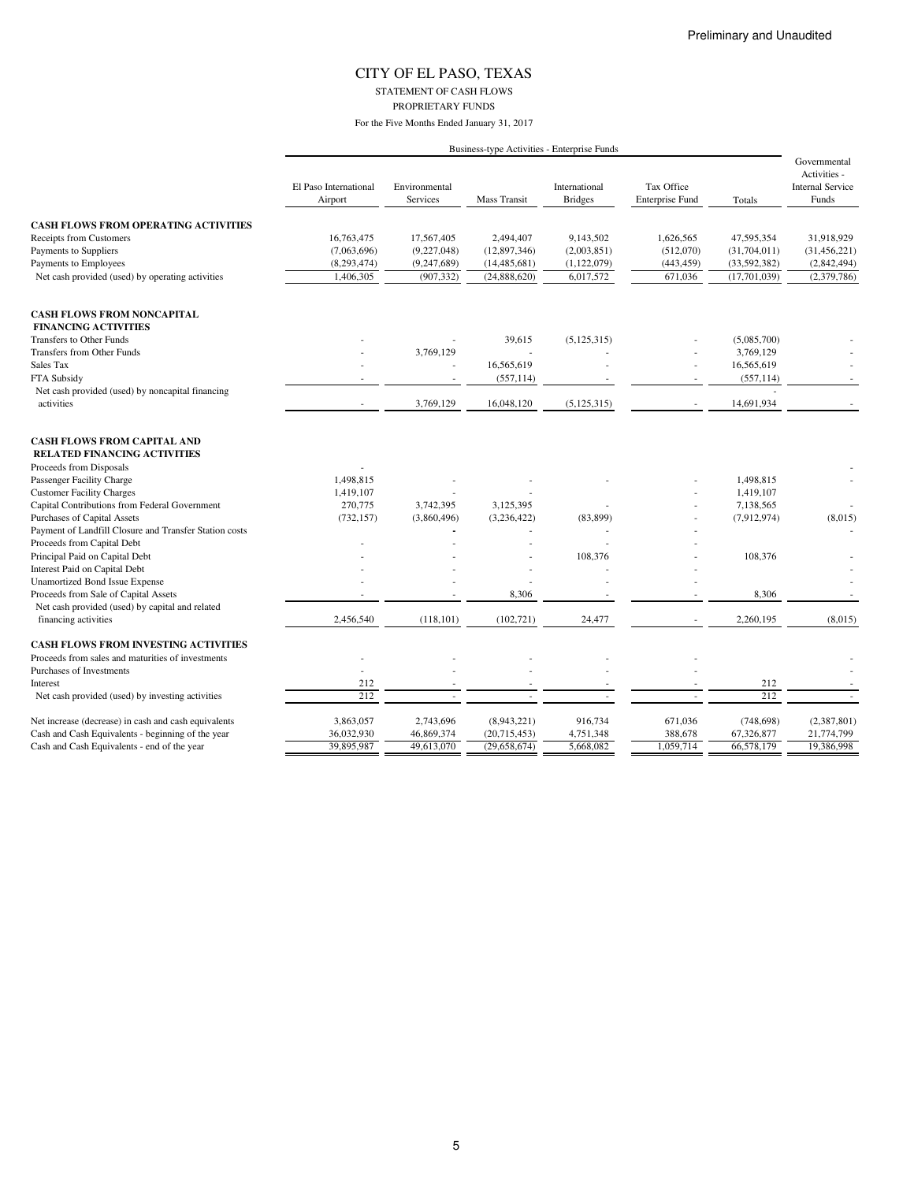STATEMENT OF CASH FLOWS PROPRIETARY FUNDS

|                                                                           | Business-type Activities - Enterprise Funds |                           |                     |                                 |                                      |              |                                                                  |  |
|---------------------------------------------------------------------------|---------------------------------------------|---------------------------|---------------------|---------------------------------|--------------------------------------|--------------|------------------------------------------------------------------|--|
|                                                                           | El Paso International<br>Airport            | Environmental<br>Services | <b>Mass Transit</b> | International<br><b>Bridges</b> | Tax Office<br><b>Enterprise Fund</b> | Totals       | Governmental<br>Activities -<br><b>Internal Service</b><br>Funds |  |
| <b>CASH FLOWS FROM OPERATING ACTIVITIES</b>                               |                                             |                           |                     |                                 |                                      |              |                                                                  |  |
| Receipts from Customers                                                   | 16,763,475                                  | 17,567,405                | 2,494,407           | 9,143,502                       | 1,626,565                            | 47,595,354   | 31,918,929                                                       |  |
| Payments to Suppliers                                                     | (7,063,696)                                 | (9,227,048)               | (12, 897, 346)      | (2,003,851)                     | (512,070)                            | (31,704,011) | (31, 456, 221)                                                   |  |
| Payments to Employees                                                     | (8, 293, 474)                               | (9,247,689)               | (14, 485, 681)      | (1, 122, 079)                   | (443, 459)                           | (33,592,382) | (2,842,494)                                                      |  |
| Net cash provided (used) by operating activities                          | 1,406,305                                   | (907, 332)                | (24,888,620)        | 6,017,572                       | 671,036                              | (17,701,039) | (2,379,786)                                                      |  |
| <b>CASH FLOWS FROM NONCAPITAL</b>                                         |                                             |                           |                     |                                 |                                      |              |                                                                  |  |
| <b>FINANCING ACTIVITIES</b>                                               |                                             |                           |                     |                                 |                                      |              |                                                                  |  |
| Transfers to Other Funds                                                  |                                             |                           | 39,615              | (5, 125, 315)                   |                                      | (5,085,700)  |                                                                  |  |
| Transfers from Other Funds                                                |                                             | 3,769,129                 |                     |                                 |                                      | 3,769,129    |                                                                  |  |
| Sales Tax                                                                 |                                             |                           | 16,565,619          |                                 | ä,                                   | 16,565,619   |                                                                  |  |
| FTA Subsidy                                                               |                                             |                           | (557, 114)          |                                 |                                      | (557, 114)   |                                                                  |  |
| Net cash provided (used) by noncapital financing                          |                                             |                           |                     |                                 |                                      |              |                                                                  |  |
| activities                                                                | $\sim$                                      | 3,769,129                 | 16,048,120          | (5, 125, 315)                   | $\overline{\phantom{a}}$             | 14,691,934   |                                                                  |  |
| <b>CASH FLOWS FROM CAPITAL AND</b><br><b>RELATED FINANCING ACTIVITIES</b> |                                             |                           |                     |                                 |                                      |              |                                                                  |  |
| Proceeds from Disposals                                                   |                                             |                           |                     |                                 |                                      |              |                                                                  |  |
| Passenger Facility Charge                                                 | 1,498,815                                   |                           |                     |                                 |                                      | 1,498,815    |                                                                  |  |
| <b>Customer Facility Charges</b>                                          | 1,419,107                                   |                           |                     |                                 |                                      | 1,419,107    |                                                                  |  |
| Capital Contributions from Federal Government                             | 270,775                                     | 3,742,395                 | 3,125,395           |                                 |                                      | 7,138,565    |                                                                  |  |
| Purchases of Capital Assets                                               | (732, 157)                                  | (3,860,496)               | (3,236,422)         | (83, 899)                       |                                      | (7,912,974)  | (8,015)                                                          |  |
| Payment of Landfill Closure and Transfer Station costs                    |                                             |                           |                     |                                 |                                      |              |                                                                  |  |
| Proceeds from Capital Debt                                                |                                             |                           |                     |                                 |                                      |              |                                                                  |  |
| Principal Paid on Capital Debt                                            |                                             |                           |                     | 108,376                         |                                      | 108,376      |                                                                  |  |
| Interest Paid on Capital Debt                                             |                                             |                           |                     |                                 |                                      |              |                                                                  |  |
| <b>Unamortized Bond Issue Expense</b>                                     |                                             |                           |                     |                                 |                                      |              |                                                                  |  |
| Proceeds from Sale of Capital Assets                                      |                                             |                           | 8,306               |                                 |                                      | 8,306        |                                                                  |  |
| Net cash provided (used) by capital and related<br>financing activities   | 2,456,540                                   | (118, 101)                | (102, 721)          | 24,477                          |                                      | 2,260,195    | (8,015)                                                          |  |
| <b>CASH FLOWS FROM INVESTING ACTIVITIES</b>                               |                                             |                           |                     |                                 |                                      |              |                                                                  |  |
| Proceeds from sales and maturities of investments                         |                                             |                           |                     |                                 |                                      |              |                                                                  |  |
| Purchases of Investments                                                  | ÷                                           |                           |                     |                                 |                                      |              |                                                                  |  |
| Interest                                                                  | 212                                         |                           |                     |                                 |                                      | 212          |                                                                  |  |
| Net cash provided (used) by investing activities                          | 212                                         |                           |                     |                                 |                                      | 212          | $\sim$                                                           |  |
| Net increase (decrease) in cash and cash equivalents                      | 3,863,057                                   | 2,743,696                 | (8,943,221)         | 916,734                         | 671,036                              | (748, 698)   | (2,387,801)                                                      |  |
| Cash and Cash Equivalents - beginning of the year                         | 36,032,930                                  | 46,869,374                | (20,715,453)        | 4,751,348                       | 388,678                              | 67,326,877   | 21,774,799                                                       |  |
| Cash and Cash Equivalents - end of the year                               | 39,895,987                                  | 49,613,070                | (29,658,674)        | 5,668,082                       | 1,059,714                            | 66,578,179   | 19,386,998                                                       |  |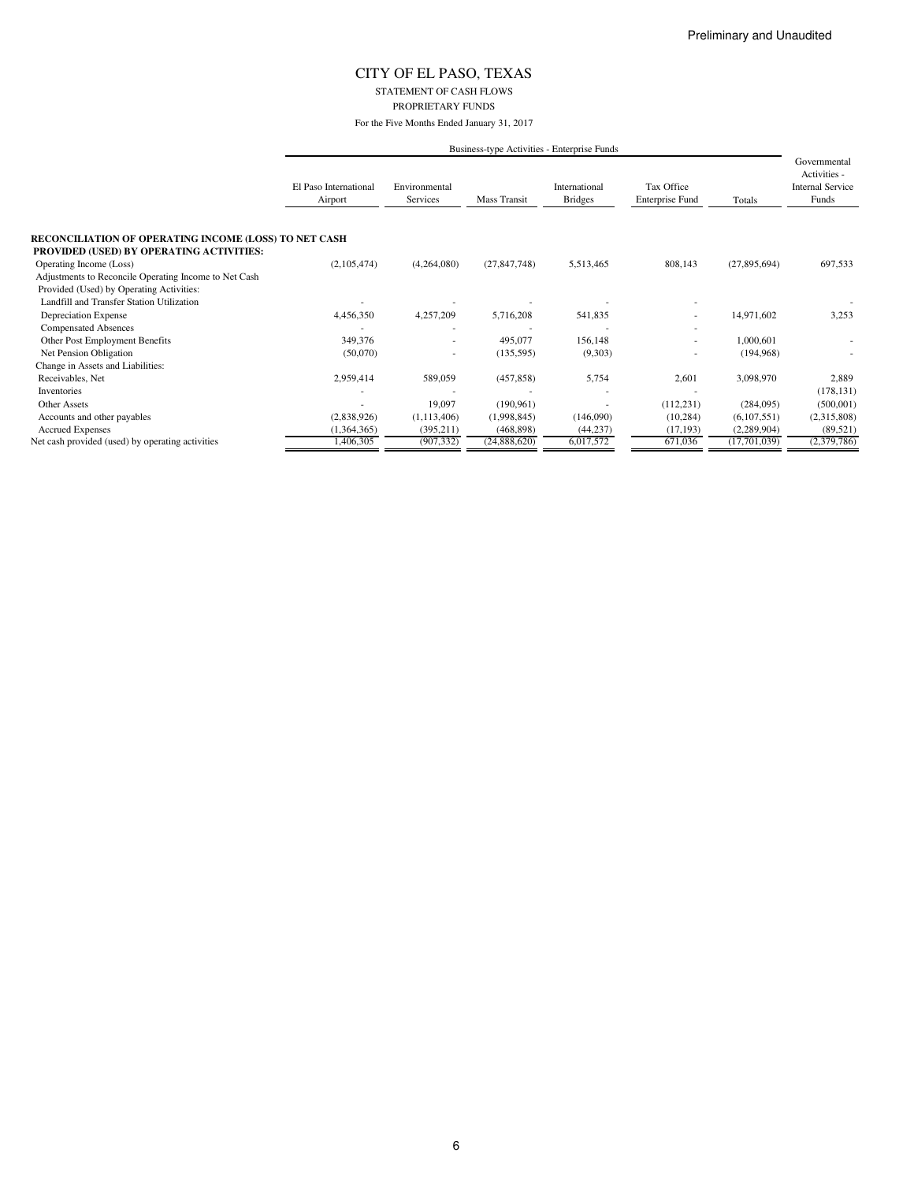STATEMENT OF CASH FLOWS PROPRIETARY FUNDS

For the Five Months Ended January 31, 2017

|                                                              | Business-type Activities - Enterprise Funds |                           |                |                                 |                                      |              |                                                                  |  |  |
|--------------------------------------------------------------|---------------------------------------------|---------------------------|----------------|---------------------------------|--------------------------------------|--------------|------------------------------------------------------------------|--|--|
|                                                              | El Paso International<br>Airport            | Environmental<br>Services | Mass Transit   | International<br><b>Bridges</b> | Tax Office<br><b>Enterprise Fund</b> | Totals       | Governmental<br>Activities -<br><b>Internal Service</b><br>Funds |  |  |
| <b>RECONCILIATION OF OPERATING INCOME (LOSS) TO NET CASH</b> |                                             |                           |                |                                 |                                      |              |                                                                  |  |  |
| PROVIDED (USED) BY OPERATING ACTIVITIES:                     |                                             |                           |                |                                 |                                      |              |                                                                  |  |  |
| Operating Income (Loss)                                      | (2,105,474)                                 | (4,264,080)               | (27, 847, 748) | 5,513,465                       | 808,143                              | (27,895,694) | 697,533                                                          |  |  |
| Adjustments to Reconcile Operating Income to Net Cash        |                                             |                           |                |                                 |                                      |              |                                                                  |  |  |
| Provided (Used) by Operating Activities:                     |                                             |                           |                |                                 |                                      |              |                                                                  |  |  |
| Landfill and Transfer Station Utilization                    |                                             |                           |                |                                 |                                      |              |                                                                  |  |  |
| Depreciation Expense                                         | 4,456,350                                   | 4,257,209                 | 5,716,208      | 541,835                         |                                      | 14,971,602   | 3,253                                                            |  |  |
| <b>Compensated Absences</b>                                  |                                             |                           |                |                                 |                                      |              |                                                                  |  |  |
| Other Post Employment Benefits                               | 349,376                                     | $\sim$                    | 495,077        | 156,148                         |                                      | 1,000,601    |                                                                  |  |  |
| Net Pension Obligation                                       | (50,070)                                    |                           | (135, 595)     | (9,303)                         |                                      | (194, 968)   |                                                                  |  |  |
| Change in Assets and Liabilities:                            |                                             |                           |                |                                 |                                      |              |                                                                  |  |  |
| Receivables, Net                                             | 2,959,414                                   | 589,059                   | (457, 858)     | 5,754                           | 2,601                                | 3,098,970    | 2,889                                                            |  |  |
| Inventories                                                  |                                             |                           |                |                                 |                                      |              | (178, 131)                                                       |  |  |
| <b>Other Assets</b>                                          |                                             | 19,097                    | (190, 961)     |                                 | (112, 231)                           | (284,095)    | (500, 001)                                                       |  |  |
| Accounts and other payables                                  | (2,838,926)                                 | (1,113,406)               | (1,998,845)    | (146,090)                       | (10, 284)                            | (6,107,551)  | (2,315,808)                                                      |  |  |
| <b>Accrued Expenses</b>                                      | (1,364,365)                                 | (395, 211)                | (468, 898)     | (44, 237)                       | (17, 193)                            | (2,289,904)  | (89, 521)                                                        |  |  |
| Net cash provided (used) by operating activities             | 1,406,305                                   | (907, 332)                | (24,888,620)   | 6,017,572                       | 671,036                              | (17,701,039) | (2,379,786)                                                      |  |  |

6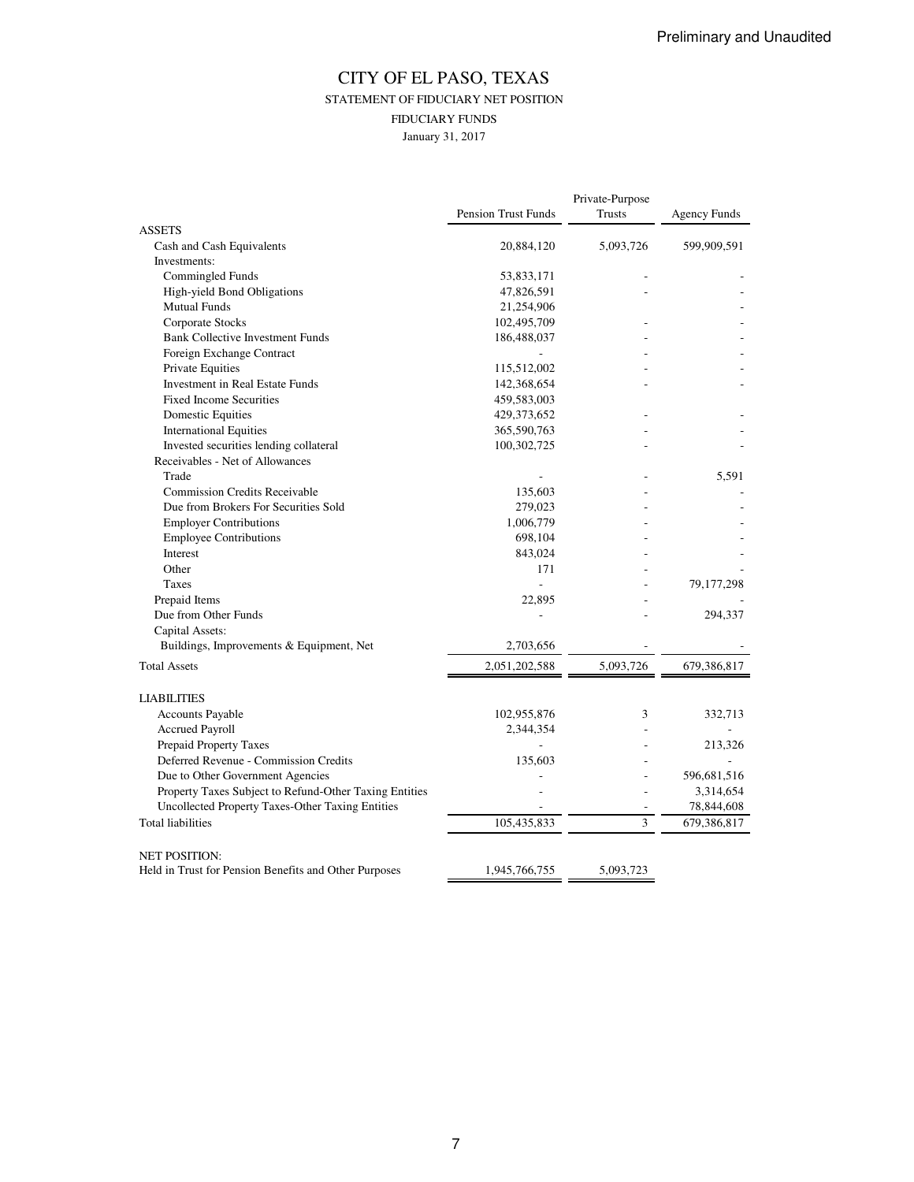### CITY OF EL PASO, TEXAS STATEMENT OF FIDUCIARY NET POSITION FIDUCIARY FUNDS January 31, 2017

|                                                        | <b>Pension Trust Funds</b> | Private-Purpose<br><b>Trusts</b> | <b>Agency Funds</b> |
|--------------------------------------------------------|----------------------------|----------------------------------|---------------------|
| <b>ASSETS</b>                                          |                            |                                  |                     |
| Cash and Cash Equivalents                              | 20,884,120                 | 5,093,726                        | 599,909,591         |
| Investments:                                           |                            |                                  |                     |
| Commingled Funds                                       | 53,833,171                 |                                  |                     |
| High-yield Bond Obligations                            | 47,826,591                 |                                  |                     |
| <b>Mutual Funds</b>                                    | 21,254,906                 |                                  |                     |
| Corporate Stocks                                       | 102,495,709                |                                  |                     |
| <b>Bank Collective Investment Funds</b>                | 186,488,037                |                                  |                     |
| Foreign Exchange Contract                              |                            |                                  |                     |
| <b>Private Equities</b>                                | 115,512,002                |                                  |                     |
| Investment in Real Estate Funds                        | 142,368,654                |                                  |                     |
| <b>Fixed Income Securities</b>                         | 459,583,003                |                                  |                     |
| Domestic Equities                                      | 429, 373, 652              |                                  |                     |
| <b>International Equities</b>                          | 365,590,763                |                                  |                     |
| Invested securities lending collateral                 | 100,302,725                |                                  |                     |
| Receivables - Net of Allowances                        |                            |                                  |                     |
| Trade                                                  |                            |                                  | 5,591               |
| <b>Commission Credits Receivable</b>                   | 135,603                    |                                  |                     |
| Due from Brokers For Securities Sold                   | 279,023                    |                                  |                     |
| <b>Employer Contributions</b>                          | 1,006,779                  |                                  |                     |
| <b>Employee Contributions</b>                          | 698,104                    |                                  |                     |
| Interest                                               | 843,024                    |                                  |                     |
| Other                                                  | 171                        |                                  |                     |
| <b>Taxes</b>                                           | $\overline{a}$             |                                  | 79,177,298          |
| Prepaid Items                                          | 22,895                     |                                  |                     |
| Due from Other Funds                                   |                            |                                  | 294,337             |
| Capital Assets:                                        |                            |                                  |                     |
| Buildings, Improvements & Equipment, Net               | 2,703,656                  |                                  |                     |
|                                                        |                            |                                  |                     |
| <b>Total Assets</b>                                    | 2,051,202,588              | 5,093,726                        | 679,386,817         |
| <b>LIABILITIES</b>                                     |                            |                                  |                     |
| Accounts Payable                                       | 102,955,876                | 3                                | 332,713             |
| <b>Accrued Payroll</b>                                 | 2,344,354                  |                                  |                     |
| Prepaid Property Taxes                                 |                            |                                  | 213,326             |
| Deferred Revenue - Commission Credits                  | 135,603                    |                                  |                     |
| Due to Other Government Agencies                       |                            |                                  | 596,681,516         |
| Property Taxes Subject to Refund-Other Taxing Entities |                            |                                  | 3,314,654           |
| Uncollected Property Taxes-Other Taxing Entities       |                            |                                  | 78,844,608          |
| <b>Total liabilities</b>                               | 105,435,833                | 3                                | 679,386,817         |
|                                                        |                            |                                  |                     |
| <b>NET POSITION:</b>                                   |                            |                                  |                     |
| Held in Trust for Pension Benefits and Other Purposes  | 1,945,766,755              | 5,093,723                        |                     |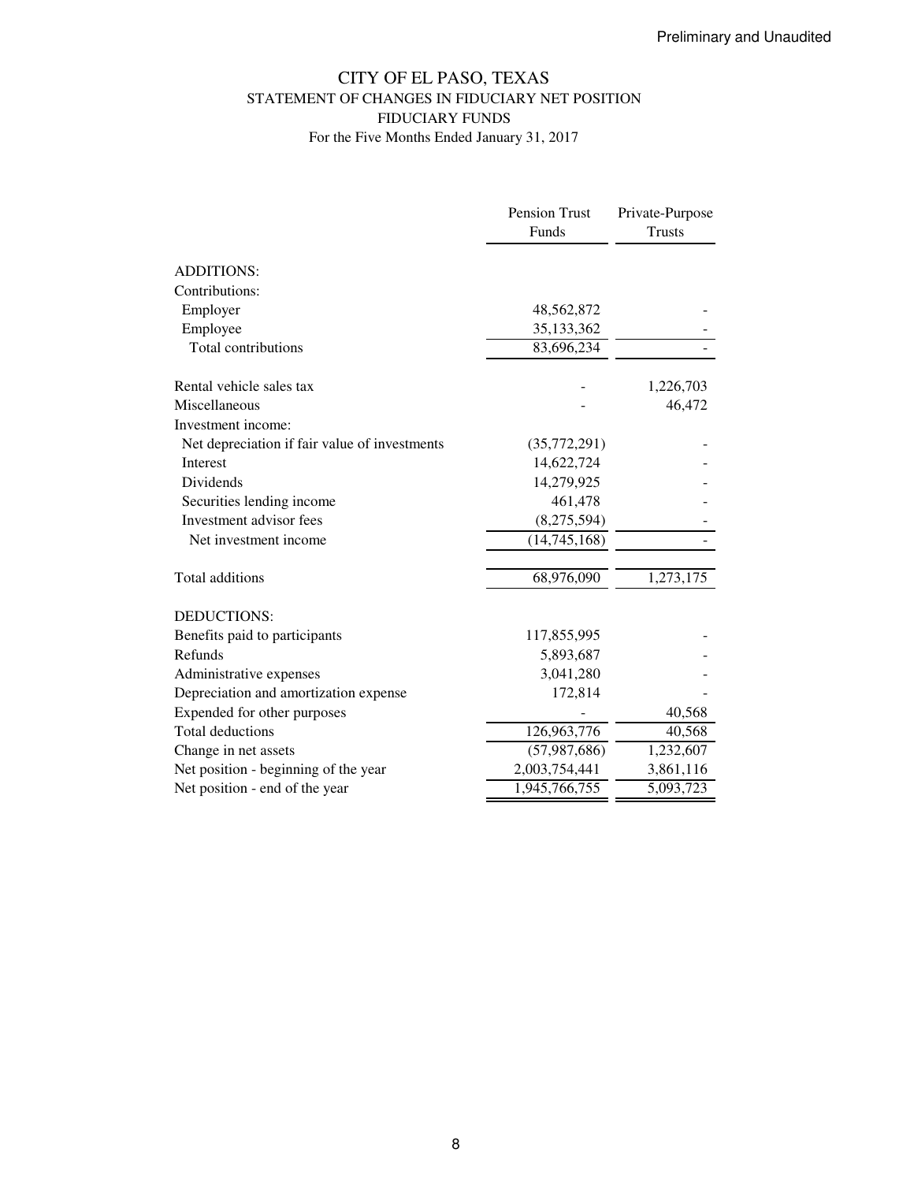### CITY OF EL PASO, TEXAS STATEMENT OF CHANGES IN FIDUCIARY NET POSITION FIDUCIARY FUNDS For the Five Months Ended January 31, 2017

|                                               | Pension Trust  | Private-Purpose |
|-----------------------------------------------|----------------|-----------------|
|                                               | Funds          | <b>Trusts</b>   |
|                                               |                |                 |
| <b>ADDITIONS:</b>                             |                |                 |
| Contributions:                                |                |                 |
| Employer                                      | 48,562,872     |                 |
| Employee                                      | 35,133,362     |                 |
| Total contributions                           | 83,696,234     |                 |
| Rental vehicle sales tax                      |                | 1,226,703       |
| Miscellaneous                                 |                | 46,472          |
| Investment income:                            |                |                 |
| Net depreciation if fair value of investments | (35,772,291)   |                 |
| Interest                                      | 14,622,724     |                 |
| Dividends                                     | 14,279,925     |                 |
| Securities lending income                     | 461,478        |                 |
| Investment advisor fees                       | (8,275,594)    |                 |
| Net investment income                         | (14, 745, 168) |                 |
| Total additions                               | 68,976,090     | 1,273,175       |
| DEDUCTIONS:                                   |                |                 |
| Benefits paid to participants                 | 117,855,995    |                 |
| Refunds                                       | 5,893,687      |                 |
| Administrative expenses                       | 3,041,280      |                 |
| Depreciation and amortization expense         | 172,814        |                 |
| Expended for other purposes                   |                | 40,568          |
| <b>Total deductions</b>                       | 126,963,776    | 40,568          |
| Change in net assets                          | (57, 987, 686) | 1,232,607       |
| Net position - beginning of the year          | 2,003,754,441  | 3,861,116       |
| Net position - end of the year                | 1,945,766,755  | 5,093,723       |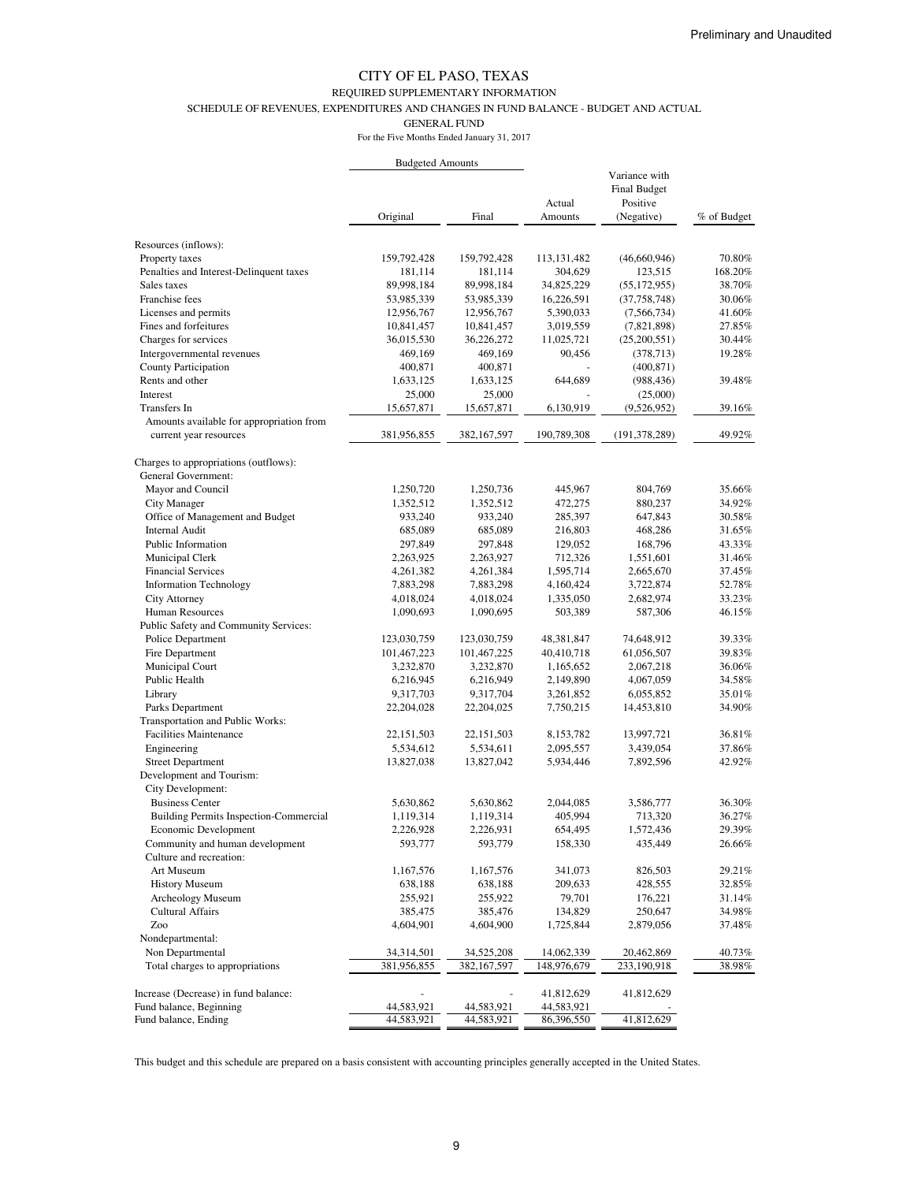#### REQUIRED SUPPLEMENTARY INFORMATION

SCHEDULE OF REVENUES, EXPENDITURES AND CHANGES IN FUND BALANCE - BUDGET AND ACTUAL

GENERAL FUND

For the Five Months Ended January 31, 2017

|                                                              | <b>Budgeted Amounts</b> |               |                   |                                                  |             |
|--------------------------------------------------------------|-------------------------|---------------|-------------------|--------------------------------------------------|-------------|
|                                                              |                         | Final         | Actual<br>Amounts | Variance with<br><b>Final Budget</b><br>Positive |             |
|                                                              | Original                |               |                   | (Negative)                                       | % of Budget |
| Resources (inflows):                                         |                         |               |                   |                                                  |             |
| Property taxes                                               | 159,792,428             | 159,792,428   | 113, 131, 482     | (46,660,946)                                     | 70.80%      |
| Penalties and Interest-Delinquent taxes                      | 181,114                 | 181,114       | 304,629           | 123,515                                          | 168.20%     |
| Sales taxes                                                  | 89,998,184              | 89,998,184    | 34,825,229        | (55, 172, 955)                                   | 38.70%      |
| Franchise fees                                               | 53,985,339              | 53,985,339    | 16,226,591        | (37, 758, 748)                                   | 30.06%      |
| Licenses and permits                                         | 12,956,767              | 12,956,767    | 5,390,033         | (7, 566, 734)                                    | 41.60%      |
| Fines and forfeitures                                        | 10,841,457              | 10,841,457    | 3,019,559         | (7,821,898)                                      | 27.85%      |
| Charges for services                                         | 36,015,530              | 36,226,272    | 11,025,721        | (25,200,551)                                     | 30.44%      |
| Intergovernmental revenues                                   | 469,169                 | 469,169       | 90,456            | (378, 713)                                       | 19.28%      |
| County Participation                                         | 400,871                 | 400,871       |                   | (400, 871)                                       |             |
| Rents and other                                              | 1,633,125               | 1,633,125     | 644,689           | (988, 436)                                       | 39.48%      |
| <b>Interest</b>                                              | 25,000                  | 25,000        |                   | (25,000)                                         |             |
| Transfers In                                                 | 15,657,871              | 15,657,871    | 6,130,919         | (9,526,952)                                      | 39.16%      |
| Amounts available for appropriation from                     |                         |               |                   |                                                  |             |
| current year resources                                       | 381,956,855             | 382, 167, 597 | 190,789,308       | (191, 378, 289)                                  | 49.92%      |
| Charges to appropriations (outflows):<br>General Government: |                         |               |                   |                                                  |             |
| Mayor and Council                                            | 1,250,720               | 1,250,736     | 445,967           | 804,769                                          | 35.66%      |
| City Manager                                                 | 1,352,512               | 1,352,512     | 472,275           | 880,237                                          | 34.92%      |
| Office of Management and Budget                              | 933,240                 | 933,240       | 285,397           | 647,843                                          | 30.58%      |
| <b>Internal Audit</b>                                        | 685,089                 | 685,089       | 216,803           | 468,286                                          | 31.65%      |
| Public Information                                           | 297,849                 | 297,848       | 129,052           | 168,796                                          | 43.33%      |
| Municipal Clerk                                              | 2,263,925               | 2,263,927     | 712,326           | 1,551,601                                        | 31.46%      |
| <b>Financial Services</b>                                    | 4,261,382               | 4,261,384     | 1,595,714         | 2,665,670                                        | 37.45%      |
| <b>Information Technology</b>                                | 7,883,298               | 7,883,298     | 4,160,424         | 3,722,874                                        | 52.78%      |
| City Attorney                                                | 4,018,024               | 4,018,024     | 1,335,050         | 2,682,974                                        | 33.23%      |
| Human Resources                                              | 1,090,693               | 1,090,695     | 503,389           | 587,306                                          | 46.15%      |
| Public Safety and Community Services:                        |                         |               |                   |                                                  |             |
| Police Department                                            | 123,030,759             | 123,030,759   | 48,381,847        | 74,648,912                                       | 39.33%      |
| Fire Department                                              | 101,467,223             | 101,467,225   | 40,410,718        | 61,056,507                                       | 39.83%      |
| Municipal Court                                              | 3,232,870               | 3,232,870     | 1,165,652         | 2,067,218                                        | 36.06%      |
| Public Health                                                | 6,216,945               | 6,216,949     | 2,149,890         | 4,067,059                                        | 34.58%      |
| Library                                                      | 9,317,703               | 9,317,704     | 3,261,852         | 6,055,852                                        | 35.01%      |
| Parks Department                                             | 22,204,028              | 22,204,025    | 7,750,215         | 14,453,810                                       | 34.90%      |
| Transportation and Public Works:                             |                         |               |                   |                                                  |             |
| Facilities Maintenance                                       | 22, 151, 503            | 22, 151, 503  | 8,153,782         | 13,997,721                                       | 36.81%      |
| Engineering                                                  | 5,534,612               | 5,534,611     | 2,095,557         | 3,439,054                                        | 37.86%      |
| <b>Street Department</b>                                     | 13,827,038              | 13,827,042    | 5,934,446         | 7,892,596                                        | 42.92%      |
| Development and Tourism:<br>City Development:                |                         |               |                   |                                                  |             |
| <b>Business Center</b>                                       | 5,630,862               | 5,630,862     | 2,044,085         | 3,586,777                                        | 36.30%      |
| Building Permits Inspection-Commercial                       | 1,119,314               | 1,119,314     | 405,994           | 713,320                                          | 36.27%      |
| Economic Development                                         | 2,226,928               | 2,226,931     | 654,495           | 1,572,436                                        | 29.39%      |
| Community and human development                              | 593,777                 | 593,779       | 158,330           | 435,449                                          | 26.66%      |
| Culture and recreation:                                      |                         |               |                   |                                                  |             |
| Art Museum                                                   | 1,167,576               | 1,167,576     | 341,073           | 826,503                                          | 29.21%      |
| <b>History Museum</b>                                        | 638,188                 | 638,188       | 209,633           | 428,555                                          | 32.85%      |
| Archeology Museum                                            | 255,921                 | 255,922       | 79,701            | 176,221                                          | 31.14%      |
| <b>Cultural Affairs</b>                                      | 385,475                 | 385,476       | 134,829           | 250,647                                          | 34.98%      |
| Zoo                                                          | 4,604,901               | 4,604,900     | 1,725,844         | 2,879,056                                        | 37.48%      |
| Nondepartmental:                                             |                         |               |                   |                                                  |             |
| Non Departmental                                             | 34,314,501              | 34,525,208    | 14,062,339        | 20,462,869                                       | 40.73%      |
| Total charges to appropriations                              | 381,956,855             | 382,167,597   | 148,976,679       | 233,190,918                                      | 38.98%      |
|                                                              |                         |               |                   |                                                  |             |
| Increase (Decrease) in fund balance:                         |                         |               | 41,812,629        | 41,812,629                                       |             |
| Fund balance, Beginning                                      | 44,583,921              | 44,583,921    | 44,583,921        |                                                  |             |
| Fund balance, Ending                                         | 44,583,921              | 44,583,921    | 86,396,550        | 41,812,629                                       |             |

This budget and this schedule are prepared on a basis consistent with accounting principles generally accepted in the United States.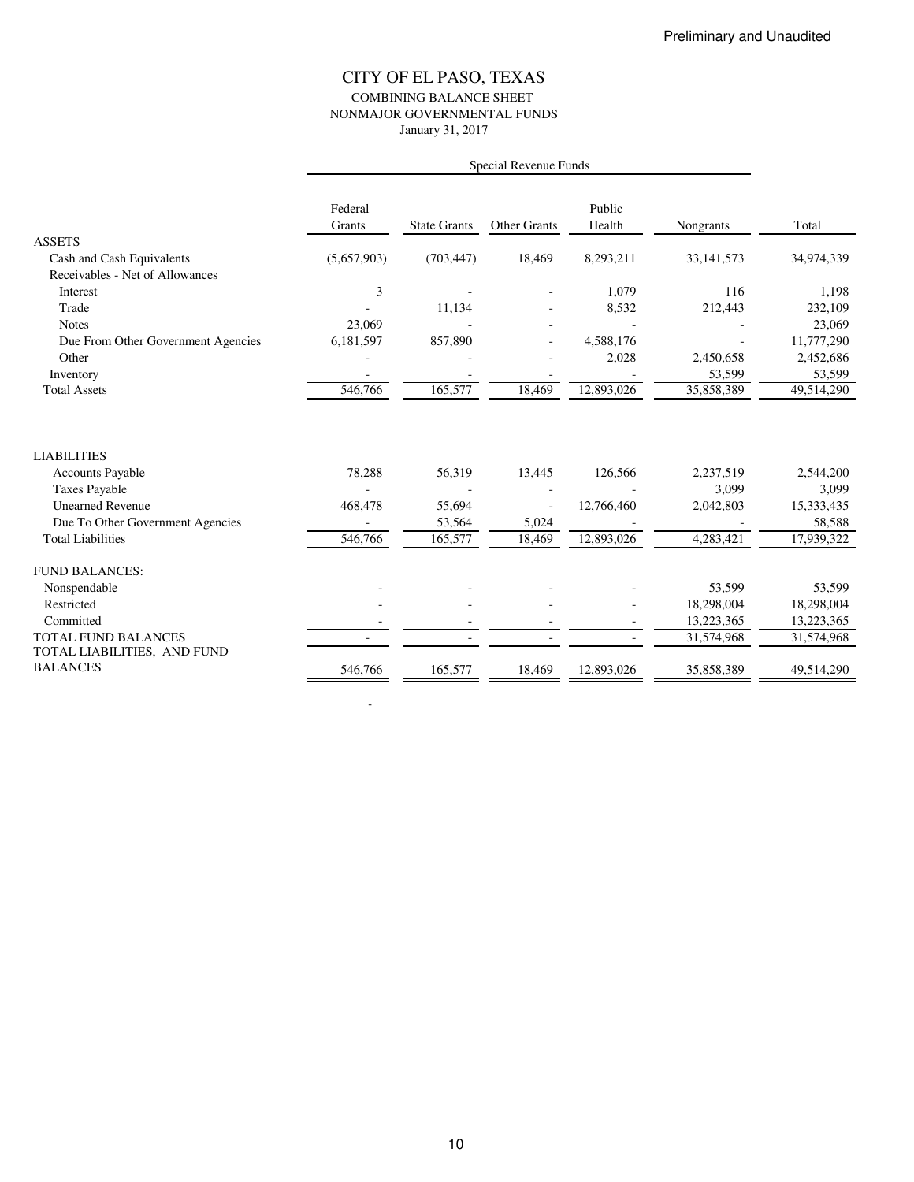### CITY OF EL PASO, TEXAS COMBINING BALANCE SHEET NONMAJOR GOVERNMENTAL FUNDS January 31, 2017

|                                                           | Federal<br>Grants | <b>State Grants</b> | <b>Other Grants</b> | Public<br>Health        | Nongrants            | Total                |
|-----------------------------------------------------------|-------------------|---------------------|---------------------|-------------------------|----------------------|----------------------|
| <b>ASSETS</b>                                             |                   |                     |                     |                         |                      |                      |
| Cash and Cash Equivalents                                 | (5,657,903)       | (703, 447)          | 18,469              | 8,293,211               | 33, 141, 573         | 34,974,339           |
| Receivables - Net of Allowances                           |                   |                     |                     |                         |                      |                      |
| Interest                                                  | 3                 |                     |                     | 1,079                   | 116                  | 1,198                |
| Trade                                                     |                   | 11,134              |                     | 8,532                   | 212,443              | 232,109              |
| <b>Notes</b>                                              | 23,069            |                     |                     |                         |                      | 23,069               |
| Due From Other Government Agencies                        | 6,181,597         | 857,890             |                     | 4,588,176               |                      | 11,777,290           |
| Other                                                     |                   |                     |                     | 2,028                   | 2,450,658            | 2,452,686            |
| Inventory<br><b>Total Assets</b>                          | 546,766           | 165,577             | 18,469              | $\overline{12,}893,026$ | 53,599<br>35,858,389 | 53,599<br>49,514,290 |
|                                                           |                   |                     |                     |                         |                      |                      |
| <b>LIABILITIES</b>                                        |                   |                     |                     |                         |                      |                      |
| <b>Accounts Payable</b>                                   | 78,288            | 56,319              | 13,445              | 126,566                 | 2,237,519            | 2,544,200            |
| <b>Taxes Payable</b>                                      |                   |                     |                     |                         | 3,099                | 3,099                |
| <b>Unearned Revenue</b>                                   | 468,478           | 55,694              |                     | 12,766,460              | 2,042,803            | 15,333,435           |
| Due To Other Government Agencies                          |                   | 53,564              | 5,024               |                         |                      | 58,588               |
| <b>Total Liabilities</b>                                  | 546,766           | 165,577             | 18,469              | 12,893,026              | 4,283,421            | 17,939,322           |
| <b>FUND BALANCES:</b>                                     |                   |                     |                     |                         |                      |                      |
| Nonspendable                                              |                   |                     |                     |                         | 53,599               | 53,599               |
| Restricted                                                |                   |                     |                     |                         | 18,298,004           | 18,298,004           |
| Committed                                                 |                   |                     |                     |                         | 13,223,365           | 13,223,365           |
| <b>TOTAL FUND BALANCES</b><br>TOTAL LIABILITIES, AND FUND |                   |                     |                     | $\overline{a}$          | 31,574,968           | 31,574,968           |
| <b>BALANCES</b>                                           | 546,766           | 165,577             | 18,469              | 12,893,026              | 35,858,389           | 49,514,290           |

- 100 minutes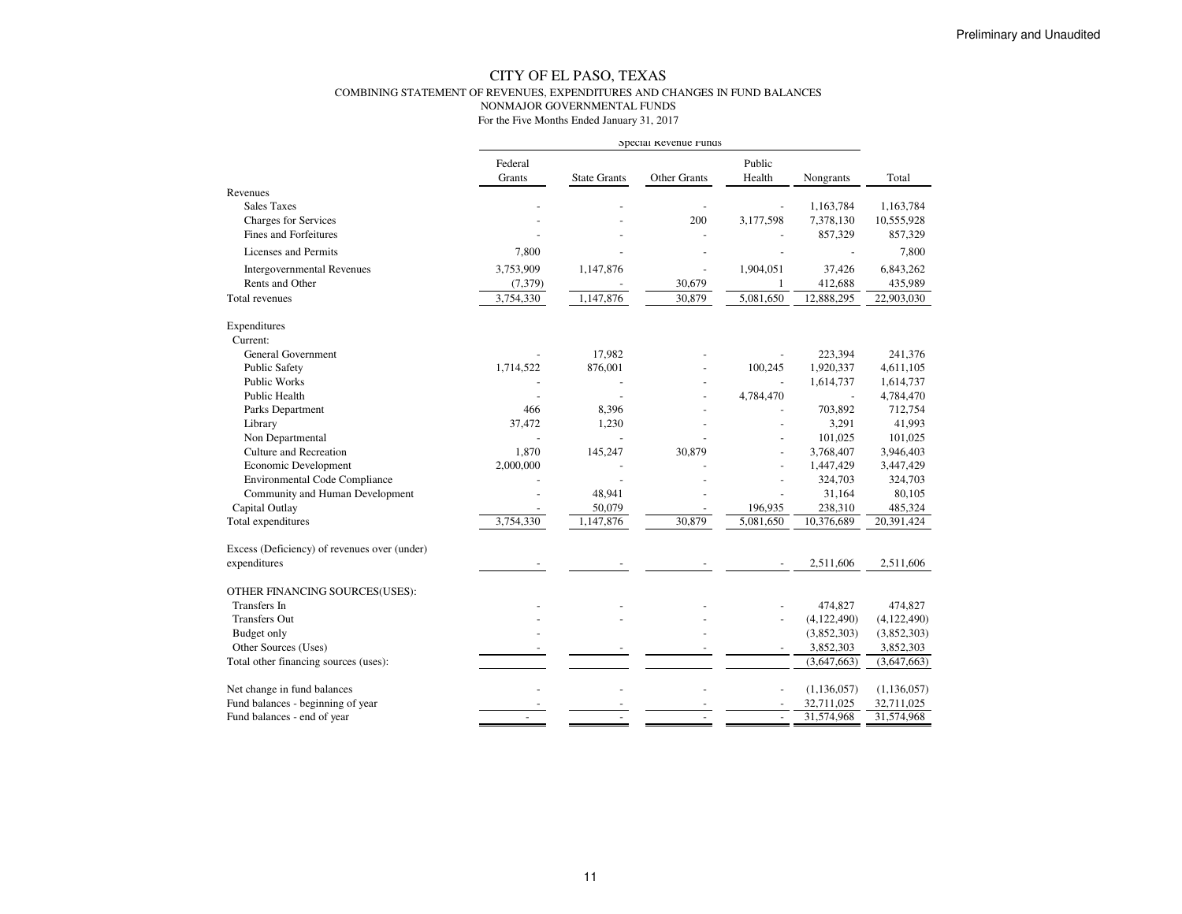#### CITY OF EL PASO, TEXAS COMBINING STATEMENT OF REVENUES, EXPENDITURES AND CHANGES IN FUND BALANCESNONMAJOR GOVERNMENTAL FUNDS

|                                              | Special Revenue runds |                     |              |                  |               |               |
|----------------------------------------------|-----------------------|---------------------|--------------|------------------|---------------|---------------|
|                                              | Federal<br>Grants     | <b>State Grants</b> | Other Grants | Public<br>Health | Nongrants     | Total         |
| Revenues                                     |                       |                     |              |                  |               |               |
| <b>Sales Taxes</b>                           |                       |                     |              |                  | 1,163,784     | 1,163,784     |
| <b>Charges for Services</b>                  |                       |                     | 200          | 3,177,598        | 7,378,130     | 10,555,928    |
| <b>Fines and Forfeitures</b>                 |                       |                     |              |                  | 857,329       | 857,329       |
| Licenses and Permits                         | 7,800                 |                     |              |                  |               | 7,800         |
| <b>Intergovernmental Revenues</b>            | 3,753,909             | 1,147,876           |              | 1,904,051        | 37,426        | 6,843,262     |
| Rents and Other                              | (7, 379)              |                     | 30,679       | -1               | 412,688       | 435,989       |
| <b>Total revenues</b>                        | 3,754,330             | 1,147,876           | 30,879       | 5,081,650        | 12,888,295    | 22,903,030    |
| Expenditures                                 |                       |                     |              |                  |               |               |
| Current:                                     |                       |                     |              |                  |               |               |
| <b>General Government</b>                    |                       | 17,982              |              |                  | 223,394       | 241,376       |
| <b>Public Safety</b>                         | 1,714,522             | 876,001             |              | 100,245          | 1,920,337     | 4,611,105     |
| Public Works                                 |                       |                     |              |                  | 1,614,737     | 1,614,737     |
| Public Health                                |                       |                     |              | 4,784,470        |               | 4,784,470     |
| Parks Department                             | 466                   | 8,396               |              |                  | 703,892       | 712,754       |
| Library                                      | 37,472                | 1,230               |              |                  | 3,291         | 41,993        |
| Non Departmental                             |                       |                     |              |                  | 101,025       | 101,025       |
| <b>Culture and Recreation</b>                | 1,870                 | 145,247             | 30,879       |                  | 3,768,407     | 3,946,403     |
| Economic Development                         | 2,000,000             |                     |              |                  | 1,447,429     | 3,447,429     |
| <b>Environmental Code Compliance</b>         |                       |                     |              |                  | 324,703       | 324,703       |
| Community and Human Development              |                       | 48,941              |              |                  | 31,164        | 80,105        |
| Capital Outlay                               |                       | 50,079              |              | 196,935          | 238,310       | 485,324       |
| Total expenditures                           | 3,754,330             | 1,147,876           | 30,879       | 5,081,650        | 10,376,689    | 20,391,424    |
| Excess (Deficiency) of revenues over (under) |                       |                     |              |                  |               |               |
| expenditures                                 |                       |                     |              |                  | 2,511,606     | 2,511,606     |
| OTHER FINANCING SOURCES(USES):               |                       |                     |              |                  |               |               |
| Transfers In                                 |                       |                     |              |                  | 474,827       | 474,827       |
| <b>Transfers Out</b>                         |                       |                     |              | $\overline{a}$   | (4,122,490)   | (4,122,490)   |
| Budget only                                  |                       |                     |              |                  | (3,852,303)   | (3,852,303)   |
| Other Sources (Uses)                         |                       |                     |              |                  | 3,852,303     | 3,852,303     |
| Total other financing sources (uses):        |                       |                     |              |                  | (3,647,663)   | (3,647,663)   |
| Net change in fund balances                  |                       |                     |              |                  | (1, 136, 057) | (1, 136, 057) |
| Fund balances - beginning of year            |                       |                     |              |                  | 32,711,025    | 32,711,025    |
| Fund balances - end of year                  |                       |                     |              | $\blacksquare$   | 31,574,968    | 31,574,968    |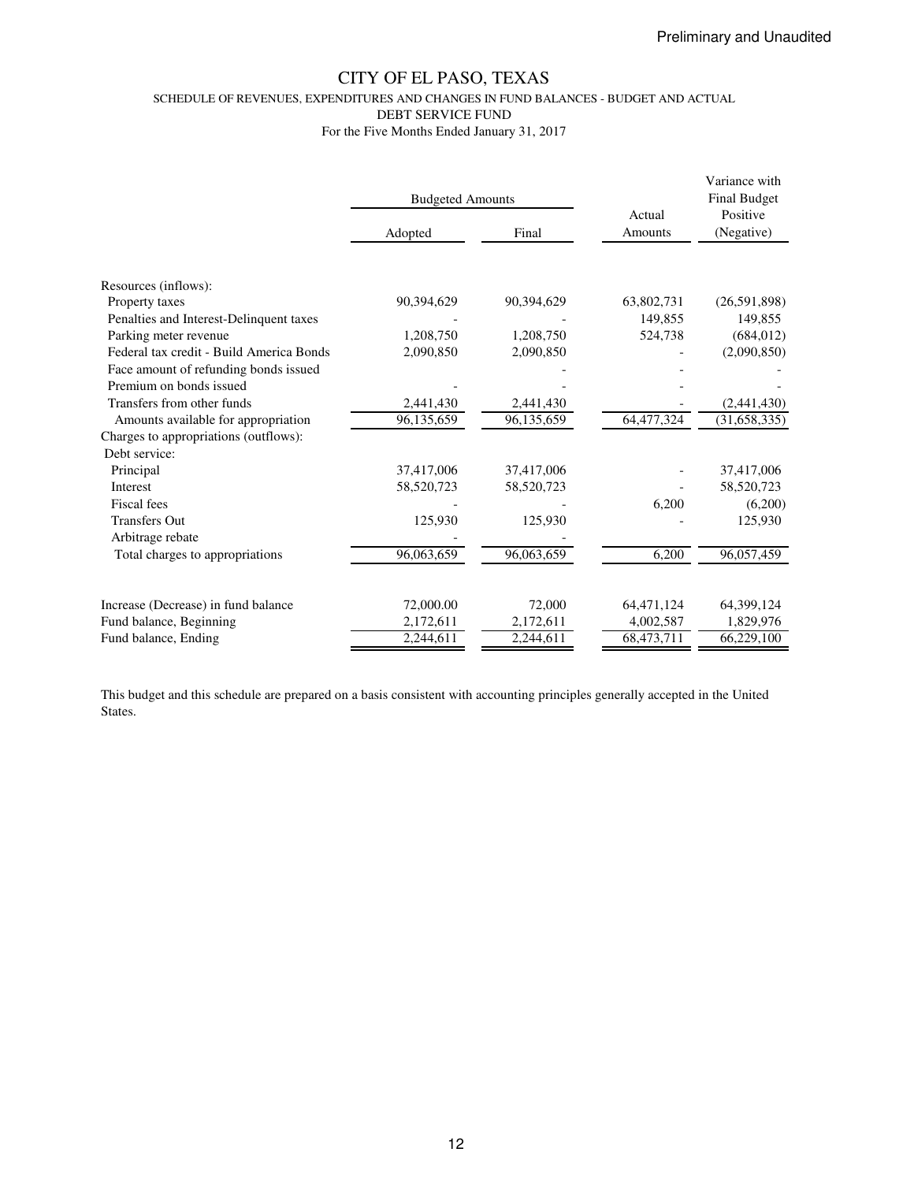SCHEDULE OF REVENUES, EXPENDITURES AND CHANGES IN FUND BALANCES - BUDGET AND ACTUAL

DEBT SERVICE FUND

For the Five Months Ended January 31, 2017

|                                          | <b>Budgeted Amounts</b> |            | Actual     | Variance with<br><b>Final Budget</b><br>Positive<br>(Negative) |  |
|------------------------------------------|-------------------------|------------|------------|----------------------------------------------------------------|--|
|                                          | Adopted                 | Final      | Amounts    |                                                                |  |
|                                          |                         |            |            |                                                                |  |
| Resources (inflows):                     |                         |            |            |                                                                |  |
| Property taxes                           | 90,394,629              | 90,394,629 | 63,802,731 | (26,591,898)                                                   |  |
| Penalties and Interest-Delinquent taxes  |                         |            | 149,855    | 149,855                                                        |  |
| Parking meter revenue                    | 1,208,750               | 1,208,750  | 524,738    | (684, 012)                                                     |  |
| Federal tax credit - Build America Bonds | 2,090,850               | 2,090,850  |            | (2,090,850)                                                    |  |
| Face amount of refunding bonds issued    |                         |            |            |                                                                |  |
| Premium on bonds issued                  |                         |            |            |                                                                |  |
| Transfers from other funds               | 2,441,430               | 2,441,430  |            | (2,441,430)                                                    |  |
| Amounts available for appropriation      | 96,135,659              | 96,135,659 | 64,477,324 | (31,658,335)                                                   |  |
| Charges to appropriations (outflows):    |                         |            |            |                                                                |  |
| Debt service:                            |                         |            |            |                                                                |  |
| Principal                                | 37,417,006              | 37,417,006 |            | 37,417,006                                                     |  |
| <b>Interest</b>                          | 58,520,723              | 58,520,723 |            | 58,520,723                                                     |  |
| Fiscal fees                              |                         |            | 6,200      | (6,200)                                                        |  |
| <b>Transfers Out</b>                     | 125,930                 | 125,930    |            | 125,930                                                        |  |
| Arbitrage rebate                         |                         |            |            |                                                                |  |
| Total charges to appropriations          | 96,063,659              | 96,063,659 | 6,200      | 96,057,459                                                     |  |
|                                          |                         |            |            |                                                                |  |
| Increase (Decrease) in fund balance      | 72,000.00               | 72,000     | 64,471,124 | 64,399,124                                                     |  |
| Fund balance, Beginning                  | 2,172,611               | 2,172,611  | 4,002,587  | 1,829,976                                                      |  |
| Fund balance, Ending                     | 2,244,611               | 2,244,611  | 68,473,711 | 66,229,100                                                     |  |

This budget and this schedule are prepared on a basis consistent with accounting principles generally accepted in the United States.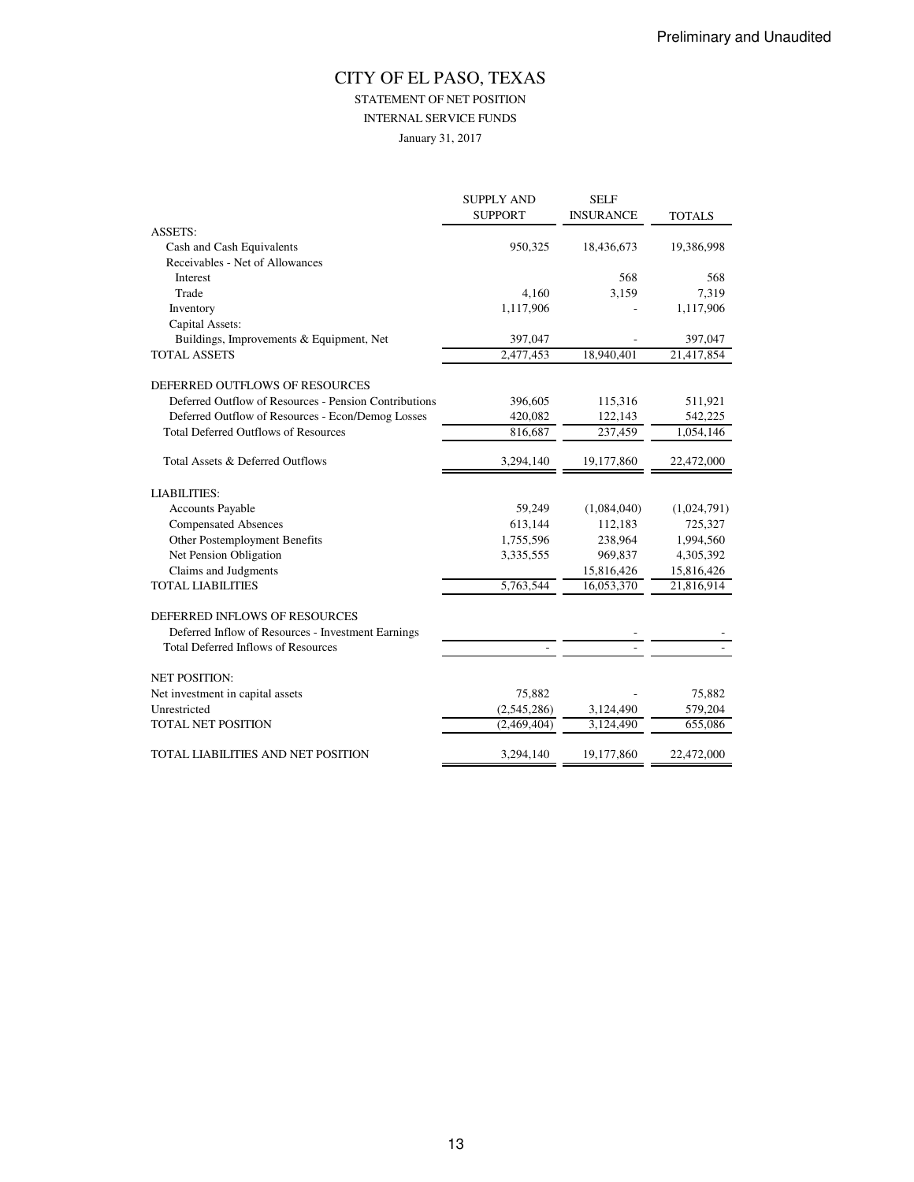STATEMENT OF NET POSITION

INTERNAL SERVICE FUNDS

January 31, 2017

|                                                       | <b>SUPPLY AND</b> | <b>SELF</b>      |                   |
|-------------------------------------------------------|-------------------|------------------|-------------------|
|                                                       | <b>SUPPORT</b>    | <b>INSURANCE</b> | <b>TOTALS</b>     |
| <b>ASSETS:</b>                                        |                   |                  |                   |
| Cash and Cash Equivalents                             | 950,325           | 18,436,673       | 19,386,998        |
| Receivables - Net of Allowances                       |                   |                  |                   |
| Interest                                              |                   | 568              | 568               |
| Trade                                                 | 4,160             | 3,159            | 7,319             |
| Inventory                                             | 1,117,906         |                  | 1,117,906         |
| Capital Assets:                                       |                   |                  |                   |
| Buildings, Improvements & Equipment, Net              | 397,047           |                  | 397,047           |
| <b>TOTAL ASSETS</b>                                   | 2,477,453         | 18,940,401       | 21,417,854        |
| DEFERRED OUTFLOWS OF RESOURCES                        |                   |                  |                   |
| Deferred Outflow of Resources - Pension Contributions | 396,605           | 115,316          | 511,921           |
| Deferred Outflow of Resources - Econ/Demog Losses     | 420,082           | 122,143          | 542,225           |
| <b>Total Deferred Outflows of Resources</b>           | 816,687           | 237,459          | 1,054,146         |
| Total Assets & Deferred Outflows                      | 3,294,140         | 19,177,860       | 22,472,000        |
| <b>LIABILITIES:</b>                                   |                   |                  |                   |
| <b>Accounts Payable</b>                               | 59,249            | (1,084,040)      | (1,024,791)       |
| <b>Compensated Absences</b>                           | 613,144           | 112,183          | 725,327           |
| Other Postemployment Benefits                         | 1,755,596         | 238,964          | 1,994,560         |
| Net Pension Obligation                                | 3,335,555         | 969,837          | 4,305,392         |
| Claims and Judgments                                  |                   | 15,816,426       | 15,816,426        |
| <b>TOTAL LIABILITIES</b>                              | 5,763,544         | 16,053,370       | 21,816,914        |
| DEFERRED INFLOWS OF RESOURCES                         |                   |                  |                   |
| Deferred Inflow of Resources - Investment Earnings    |                   |                  |                   |
| <b>Total Deferred Inflows of Resources</b>            |                   |                  |                   |
| <b>NET POSITION:</b>                                  |                   |                  |                   |
|                                                       | 75,882            |                  |                   |
| Net investment in capital assets<br>Unrestricted      | (2,545,286)       | 3,124,490        | 75,882<br>579,204 |
|                                                       |                   |                  |                   |
| <b>TOTAL NET POSITION</b>                             | (2,469,404)       | 3,124,490        | 655,086           |
| TOTAL LIABILITIES AND NET POSITION                    | 3.294.140         | 19,177,860       | 22,472,000        |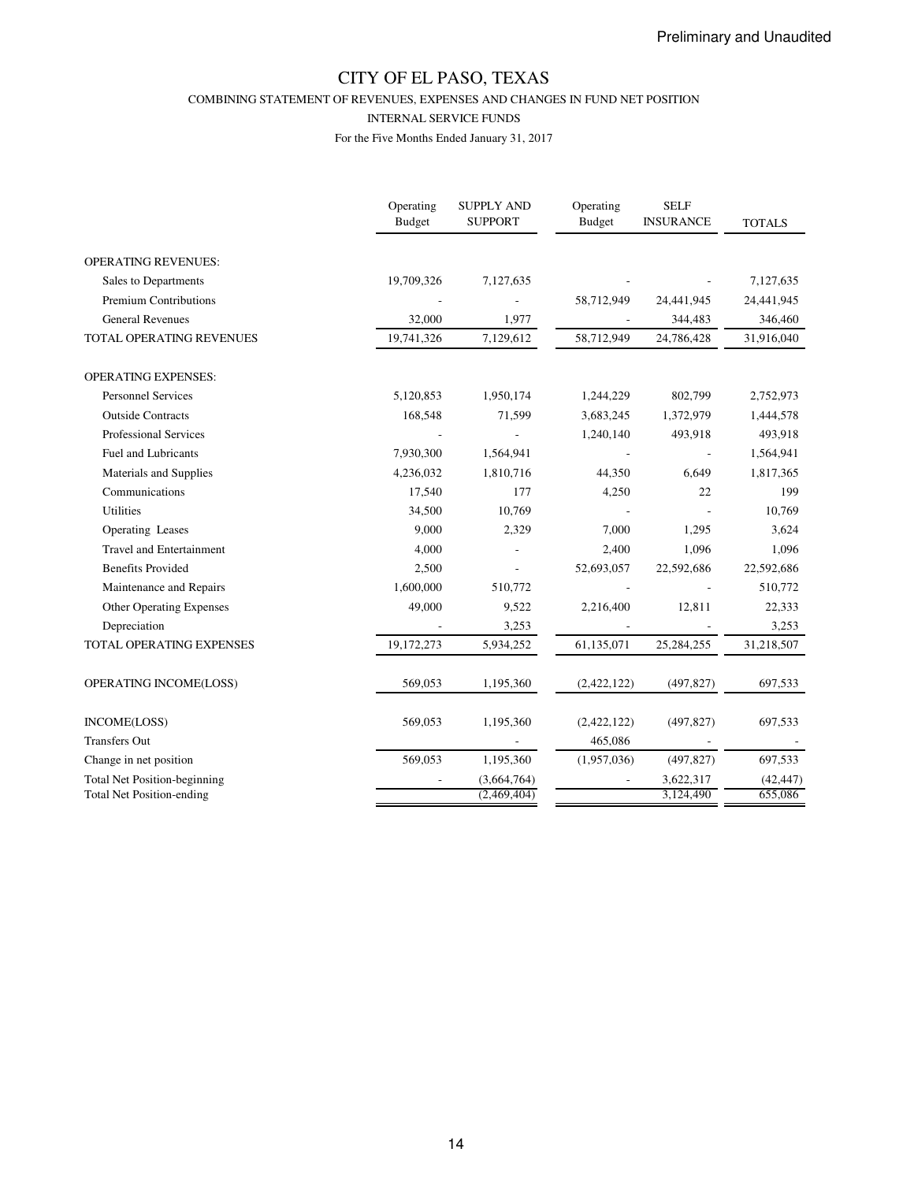COMBINING STATEMENT OF REVENUES, EXPENSES AND CHANGES IN FUND NET POSITION

#### INTERNAL SERVICE FUNDS

|                                     | Operating<br><b>Budget</b> | <b>SUPPLY AND</b><br><b>SUPPORT</b> | Operating<br><b>Budget</b> | <b>SELF</b><br><b>INSURANCE</b> | <b>TOTALS</b> |
|-------------------------------------|----------------------------|-------------------------------------|----------------------------|---------------------------------|---------------|
| <b>OPERATING REVENUES:</b>          |                            |                                     |                            |                                 |               |
| Sales to Departments                | 19,709,326                 | 7,127,635                           |                            |                                 | 7,127,635     |
| <b>Premium Contributions</b>        |                            |                                     | 58,712,949                 | 24,441,945                      | 24,441,945    |
| <b>General Revenues</b>             | 32,000                     | 1,977                               |                            | 344,483                         | 346,460       |
| TOTAL OPERATING REVENUES            | 19,741,326                 | 7,129,612                           | 58,712,949                 | 24,786,428                      | 31,916,040    |
| <b>OPERATING EXPENSES:</b>          |                            |                                     |                            |                                 |               |
| <b>Personnel Services</b>           | 5,120,853                  | 1,950,174                           | 1,244,229                  | 802,799                         | 2,752,973     |
| <b>Outside Contracts</b>            | 168,548                    | 71,599                              | 3,683,245                  | 1,372,979                       | 1,444,578     |
| <b>Professional Services</b>        |                            |                                     | 1,240,140                  | 493,918                         | 493,918       |
| <b>Fuel and Lubricants</b>          | 7,930,300                  | 1,564,941                           |                            |                                 | 1,564,941     |
| Materials and Supplies              | 4,236,032                  | 1,810,716                           | 44,350                     | 6,649                           | 1,817,365     |
| Communications                      | 17,540                     | 177                                 | 4,250                      | 22                              | 199           |
| <b>Utilities</b>                    | 34,500                     | 10,769                              |                            |                                 | 10,769        |
| Operating Leases                    | 9,000                      | 2,329                               | 7,000                      | 1,295                           | 3,624         |
| <b>Travel and Entertainment</b>     | 4,000                      |                                     | 2,400                      | 1,096                           | 1,096         |
| <b>Benefits Provided</b>            | 2,500                      |                                     | 52,693,057                 | 22,592,686                      | 22,592,686    |
| Maintenance and Repairs             | 1,600,000                  | 510,772                             |                            |                                 | 510,772       |
| <b>Other Operating Expenses</b>     | 49,000                     | 9,522                               | 2,216,400                  | 12,811                          | 22,333        |
| Depreciation                        |                            | 3,253                               |                            |                                 | 3,253         |
| TOTAL OPERATING EXPENSES            | 19,172,273                 | 5,934,252                           | 61,135,071                 | 25,284,255                      | 31,218,507    |
| OPERATING INCOME(LOSS)              | 569,053                    | 1,195,360                           | (2,422,122)                | (497, 827)                      | 697,533       |
| INCOME(LOSS)                        | 569,053                    | 1,195,360                           | (2,422,122)                | (497, 827)                      | 697,533       |
| <b>Transfers Out</b>                |                            |                                     | 465,086                    |                                 |               |
| Change in net position              | 569,053                    | 1,195,360                           | (1,957,036)                | (497, 827)                      | 697,533       |
| <b>Total Net Position-beginning</b> |                            | (3,664,764)                         |                            | 3,622,317                       | (42, 447)     |
| <b>Total Net Position-ending</b>    |                            | (2,469,404)                         |                            | 3,124,490                       | 655,086       |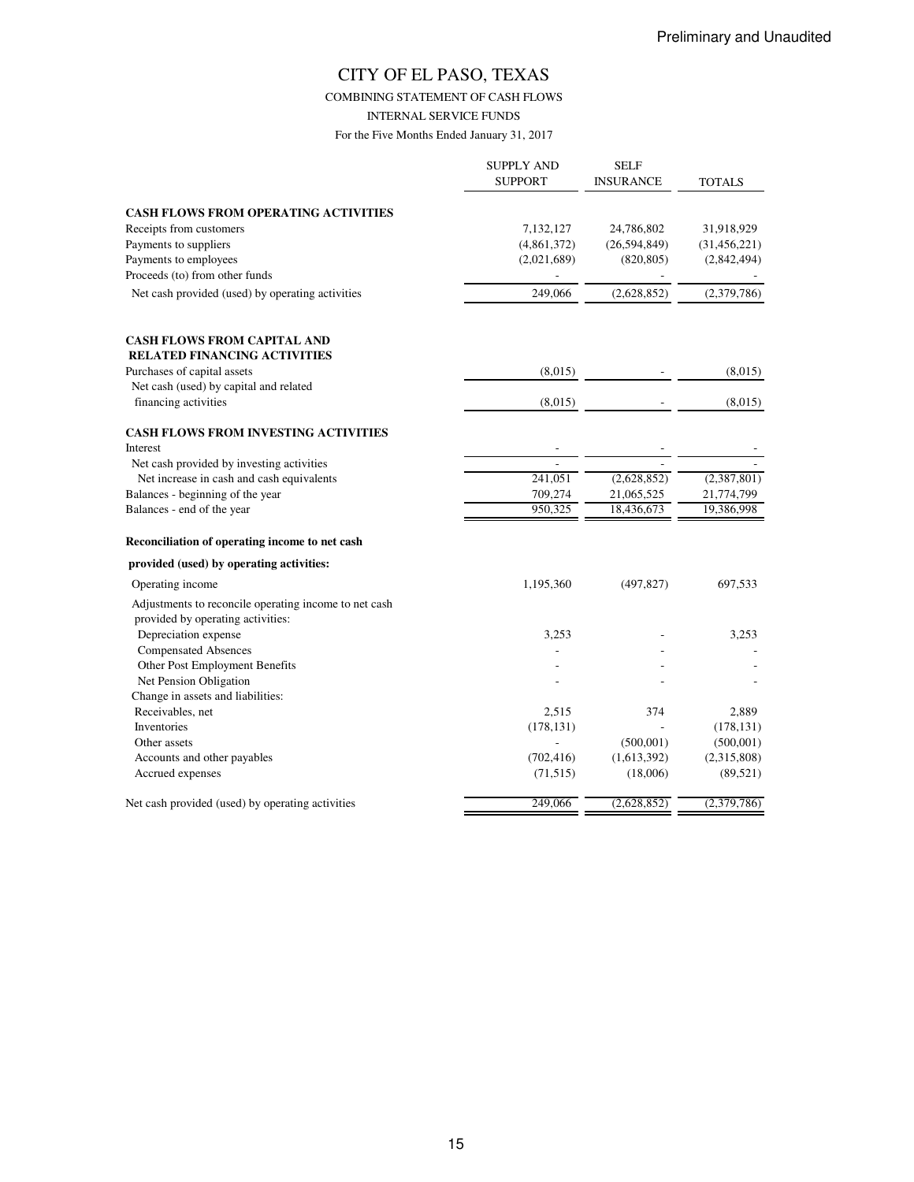COMBINING STATEMENT OF CASH FLOWS

INTERNAL SERVICE FUNDS

|                                                       | <b>SUPPLY AND</b><br><b>SUPPORT</b> | <b>SELF</b><br><b>INSURANCE</b> | TOTALS         |
|-------------------------------------------------------|-------------------------------------|---------------------------------|----------------|
| <b>CASH FLOWS FROM OPERATING ACTIVITIES</b>           |                                     |                                 |                |
| Receipts from customers                               | 7,132,127                           | 24,786,802                      | 31,918,929     |
| Payments to suppliers                                 | (4,861,372)                         | (26, 594, 849)                  | (31, 456, 221) |
| Payments to employees                                 | (2,021,689)                         | (820, 805)                      | (2,842,494)    |
| Proceeds (to) from other funds                        |                                     |                                 |                |
| Net cash provided (used) by operating activities      | 249,066                             | (2,628,852)                     | (2,379,786)    |
|                                                       |                                     |                                 |                |
| <b>CASH FLOWS FROM CAPITAL AND</b>                    |                                     |                                 |                |
| <b>RELATED FINANCING ACTIVITIES</b>                   |                                     |                                 |                |
| Purchases of capital assets                           | (8,015)                             |                                 | (8,015)        |
| Net cash (used) by capital and related                |                                     |                                 |                |
| financing activities                                  | (8,015)                             |                                 | (8,015)        |
| <b>CASH FLOWS FROM INVESTING ACTIVITIES</b>           |                                     |                                 |                |
| Interest                                              |                                     |                                 |                |
| Net cash provided by investing activities             |                                     |                                 |                |
| Net increase in cash and cash equivalents             | 241,051                             | (2,628,852)                     | (2,387,801)    |
| Balances - beginning of the year                      | 709,274                             | 21,065,525                      | 21,774,799     |
| Balances - end of the year                            | 950,325                             | 18,436,673                      | 19,386,998     |
| Reconciliation of operating income to net cash        |                                     |                                 |                |
| provided (used) by operating activities:              |                                     |                                 |                |
| Operating income                                      | 1,195,360                           | (497, 827)                      | 697,533        |
| Adjustments to reconcile operating income to net cash |                                     |                                 |                |
| provided by operating activities:                     |                                     |                                 |                |
| Depreciation expense                                  | 3,253                               |                                 | 3,253          |
| <b>Compensated Absences</b>                           |                                     |                                 |                |
| Other Post Employment Benefits                        |                                     |                                 |                |
| Net Pension Obligation                                |                                     |                                 |                |
| Change in assets and liabilities:                     |                                     |                                 |                |
| Receivables, net                                      | 2,515                               | 374                             | 2,889          |
| Inventories                                           | (178, 131)                          |                                 | (178, 131)     |
| Other assets                                          |                                     | (500, 001)                      | (500,001)      |
| Accounts and other payables                           | (702, 416)                          | (1,613,392)                     | (2,315,808)    |
| Accrued expenses                                      | (71, 515)                           | (18,006)                        | (89, 521)      |
| Net cash provided (used) by operating activities      | 249,066                             | (2,628,852)                     | (2,379,786)    |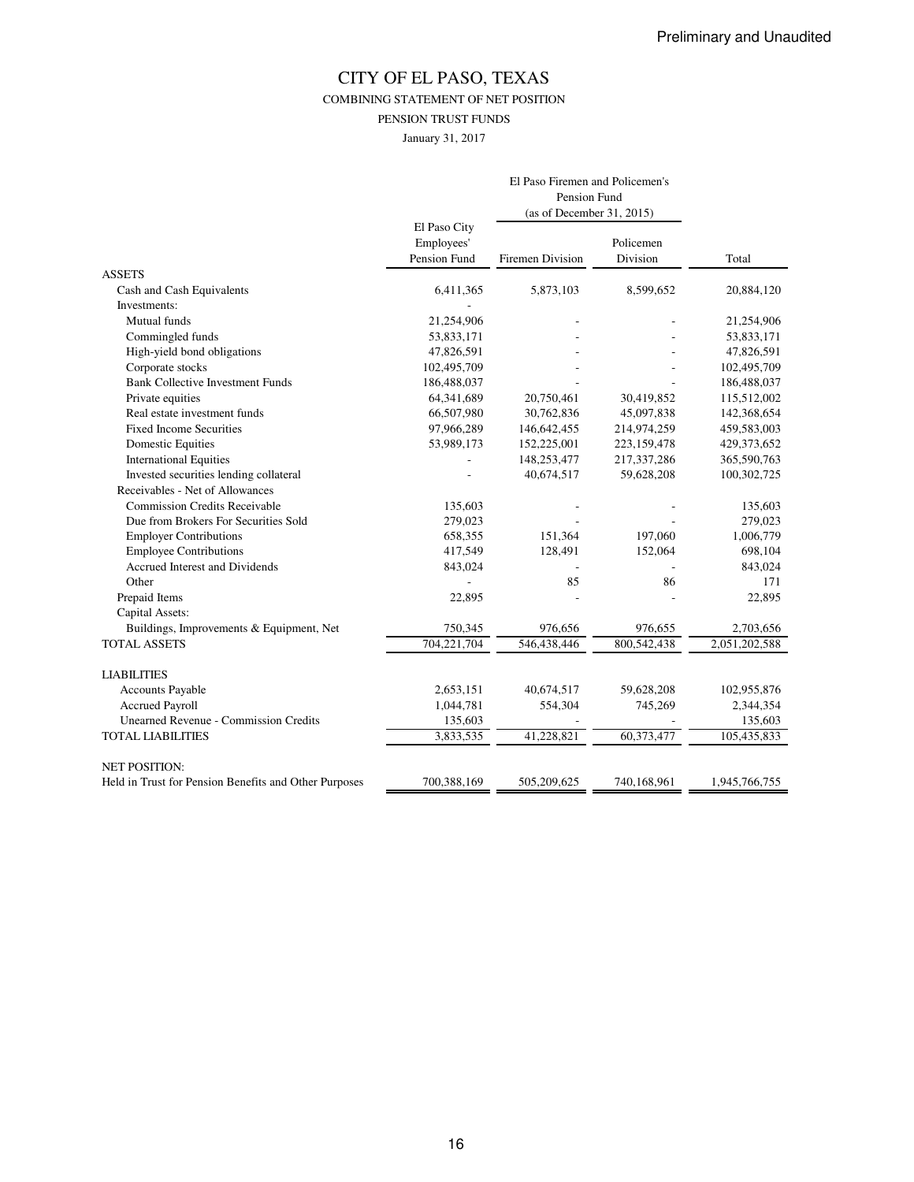COMBINING STATEMENT OF NET POSITION

PENSION TRUST FUNDS

January 31, 2017

|                                                       |                                            | El Paso Firemen and Policemen's<br>Pension Fund<br>(as of December 31, 2015) |                       |               |
|-------------------------------------------------------|--------------------------------------------|------------------------------------------------------------------------------|-----------------------|---------------|
|                                                       | El Paso City<br>Employees'<br>Pension Fund | Firemen Division                                                             | Policemen<br>Division | Total         |
| <b>ASSETS</b>                                         |                                            |                                                                              |                       |               |
| Cash and Cash Equivalents                             | 6,411,365                                  | 5,873,103                                                                    | 8,599,652             | 20,884,120    |
| Investments:                                          |                                            |                                                                              |                       |               |
| Mutual funds                                          | 21,254,906                                 |                                                                              |                       | 21,254,906    |
| Commingled funds                                      | 53,833,171                                 |                                                                              |                       | 53,833,171    |
| High-yield bond obligations                           | 47,826,591                                 |                                                                              |                       | 47,826,591    |
| Corporate stocks                                      | 102,495,709                                |                                                                              |                       | 102,495,709   |
| <b>Bank Collective Investment Funds</b>               | 186,488,037                                |                                                                              |                       | 186,488,037   |
| Private equities                                      | 64,341,689                                 | 20,750,461                                                                   | 30,419,852            | 115,512,002   |
| Real estate investment funds                          | 66,507,980                                 | 30,762,836                                                                   | 45,097,838            | 142,368,654   |
| <b>Fixed Income Securities</b>                        | 97,966,289                                 | 146,642,455                                                                  | 214,974,259           | 459,583,003   |
| <b>Domestic Equities</b>                              | 53,989,173                                 | 152,225,001                                                                  | 223,159,478           | 429,373,652   |
| <b>International Equities</b>                         |                                            | 148,253,477                                                                  | 217,337,286           | 365,590,763   |
| Invested securities lending collateral                |                                            | 40,674,517                                                                   | 59,628,208            | 100,302,725   |
| Receivables - Net of Allowances                       |                                            |                                                                              |                       |               |
| <b>Commission Credits Receivable</b>                  | 135,603                                    |                                                                              |                       | 135,603       |
| Due from Brokers For Securities Sold                  | 279,023                                    |                                                                              |                       | 279,023       |
| <b>Employer Contributions</b>                         | 658,355                                    | 151,364                                                                      | 197,060               | 1,006,779     |
| <b>Employee Contributions</b>                         | 417,549                                    | 128,491                                                                      | 152,064               | 698,104       |
| Accrued Interest and Dividends                        | 843,024                                    |                                                                              |                       | 843,024       |
| Other                                                 |                                            | 85                                                                           | 86                    | 171           |
| Prepaid Items                                         | 22,895                                     |                                                                              |                       | 22,895        |
| Capital Assets:                                       |                                            |                                                                              |                       |               |
| Buildings, Improvements & Equipment, Net              | 750,345                                    | 976,656                                                                      | 976,655               | 2,703,656     |
| <b>TOTAL ASSETS</b>                                   | 704,221,704                                | 546,438,446                                                                  | 800,542,438           | 2,051,202,588 |
| <b>LIABILITIES</b>                                    |                                            |                                                                              |                       |               |
| <b>Accounts Payable</b>                               | 2,653,151                                  | 40,674,517                                                                   | 59,628,208            | 102,955,876   |
| <b>Accrued Payroll</b>                                | 1,044,781                                  | 554,304                                                                      | 745,269               | 2,344,354     |
| <b>Unearned Revenue - Commission Credits</b>          | 135,603                                    |                                                                              |                       | 135,603       |
| <b>TOTAL LIABILITIES</b>                              | 3,833,535                                  | 41,228,821                                                                   | 60,373,477            | 105,435,833   |
| <b>NET POSITION:</b>                                  |                                            |                                                                              |                       |               |
| Held in Trust for Pension Benefits and Other Purposes | 700,388,169                                | 505,209,625                                                                  | 740,168,961           | 1,945,766,755 |